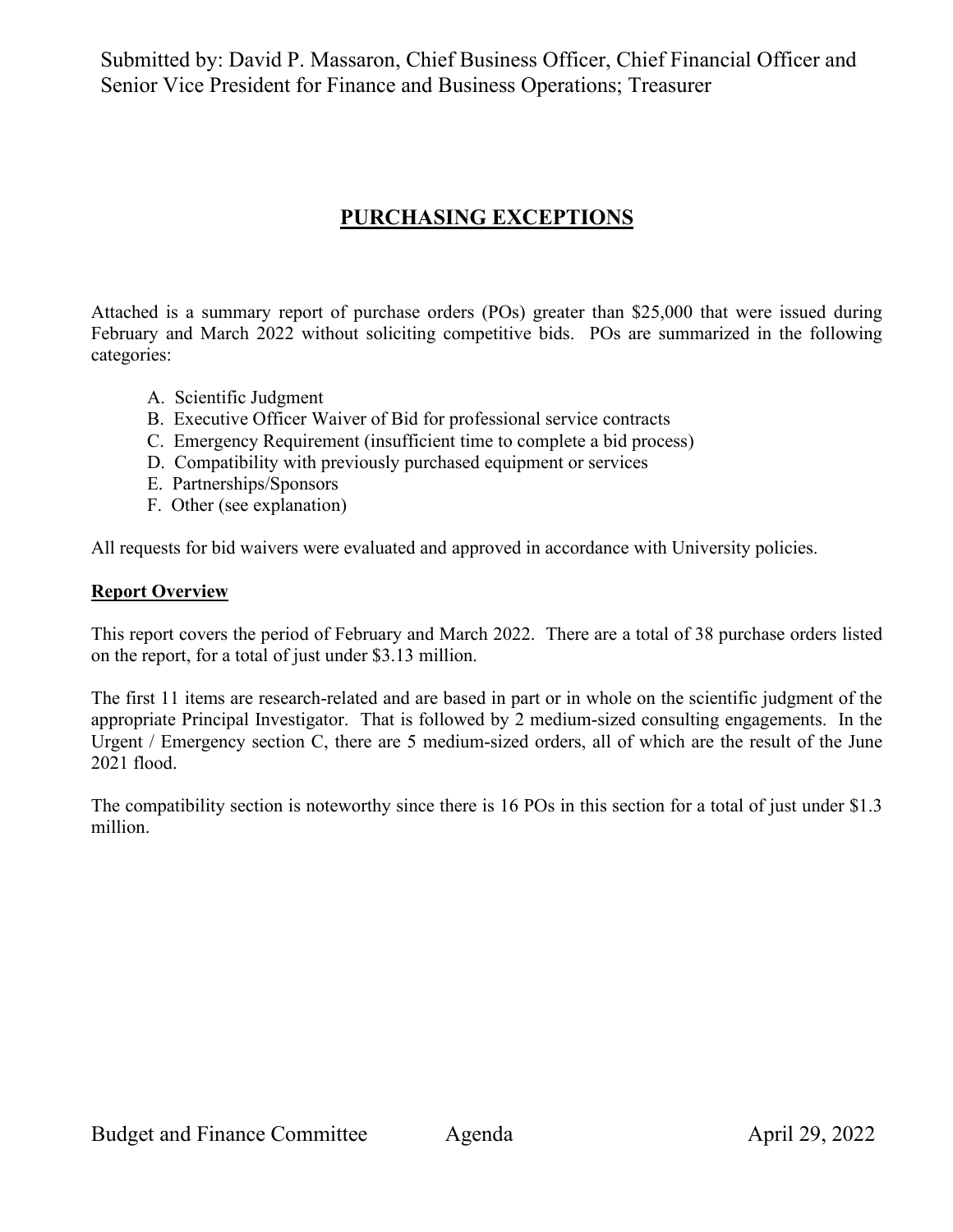Submitted by: David P. Massaron, Chief Business Officer, Chief Financial Officer and Senior Vice President for Finance and Business Operations; Treasurer

# **PURCHASING EXCEPTIONS**

Attached is a summary report of purchase orders (POs) greater than \$25,000 that were issued during February and March 2022 without soliciting competitive bids. POs are summarized in the following categories:

- A. Scientific Judgment
- B. Executive Officer Waiver of Bid for professional service contracts
- C. Emergency Requirement (insufficient time to complete a bid process)
- D. Compatibility with previously purchased equipment or services
- E. Partnerships/Sponsors
- F. Other (see explanation)

All requests for bid waivers were evaluated and approved in accordance with University policies.

#### **Report Overview**

This report covers the period of February and March 2022. There are a total of 38 purchase orders listed on the report, for a total of just under \$3.13 million.

The first 11 items are research-related and are based in part or in whole on the scientific judgment of the appropriate Principal Investigator. That is followed by 2 medium-sized consulting engagements. In the Urgent / Emergency section C, there are 5 medium-sized orders, all of which are the result of the June 2021 flood.

The compatibility section is noteworthy since there is 16 POs in this section for a total of just under \$1.3 million.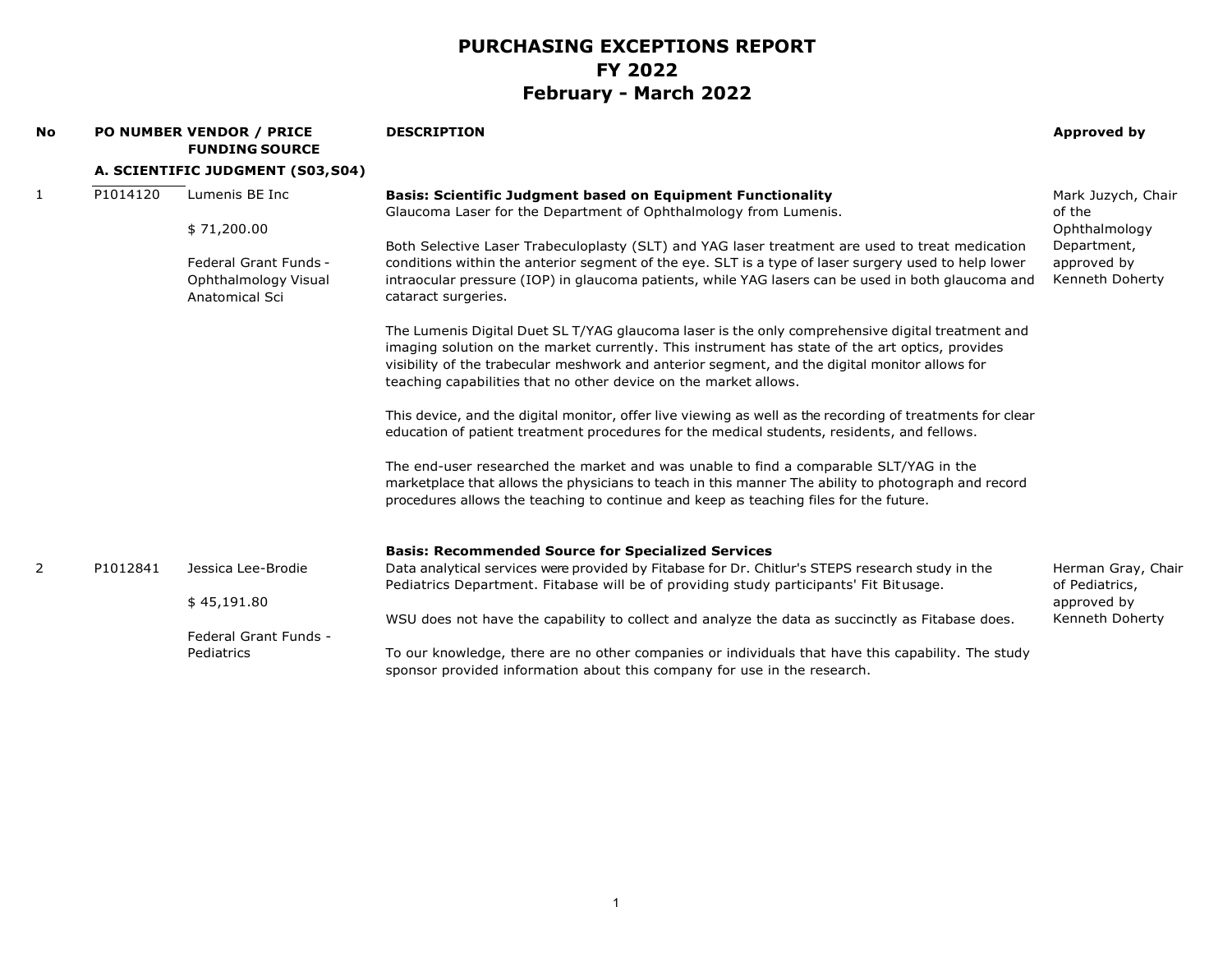| No           |          | <b>PO NUMBER VENDOR / PRICE</b><br><b>FUNDING SOURCE</b> | <b>DESCRIPTION</b>                                                                                                                                                                                                                                                                                                                                                        | Approved by                          |
|--------------|----------|----------------------------------------------------------|---------------------------------------------------------------------------------------------------------------------------------------------------------------------------------------------------------------------------------------------------------------------------------------------------------------------------------------------------------------------------|--------------------------------------|
|              |          | A. SCIENTIFIC JUDGMENT (S03, S04)                        |                                                                                                                                                                                                                                                                                                                                                                           |                                      |
| $\mathbf{1}$ | P1014120 | Lumenis BE Inc                                           | <b>Basis: Scientific Judgment based on Equipment Functionality</b><br>Glaucoma Laser for the Department of Ophthalmology from Lumenis.                                                                                                                                                                                                                                    | Mark Juzych, Chair<br>of the         |
|              |          | \$71,200.00                                              |                                                                                                                                                                                                                                                                                                                                                                           | Ophthalmology                        |
|              |          |                                                          | Both Selective Laser Trabeculoplasty (SLT) and YAG laser treatment are used to treat medication                                                                                                                                                                                                                                                                           | Department,                          |
|              |          | Federal Grant Funds -                                    | conditions within the anterior segment of the eye. SLT is a type of laser surgery used to help lower                                                                                                                                                                                                                                                                      | approved by                          |
|              |          | Ophthalmology Visual<br>Anatomical Sci                   | intraocular pressure (IOP) in glaucoma patients, while YAG lasers can be used in both glaucoma and<br>cataract surgeries.                                                                                                                                                                                                                                                 | Kenneth Doherty                      |
|              |          |                                                          | The Lumenis Digital Duet SL T/YAG glaucoma laser is the only comprehensive digital treatment and<br>imaging solution on the market currently. This instrument has state of the art optics, provides<br>visibility of the trabecular meshwork and anterior segment, and the digital monitor allows for<br>teaching capabilities that no other device on the market allows. |                                      |
|              |          |                                                          | This device, and the digital monitor, offer live viewing as well as the recording of treatments for clear                                                                                                                                                                                                                                                                 |                                      |
|              |          |                                                          | education of patient treatment procedures for the medical students, residents, and fellows.                                                                                                                                                                                                                                                                               |                                      |
|              |          |                                                          | The end-user researched the market and was unable to find a comparable SLT/YAG in the                                                                                                                                                                                                                                                                                     |                                      |
|              |          |                                                          | marketplace that allows the physicians to teach in this manner The ability to photograph and record                                                                                                                                                                                                                                                                       |                                      |
|              |          |                                                          | procedures allows the teaching to continue and keep as teaching files for the future.                                                                                                                                                                                                                                                                                     |                                      |
|              |          |                                                          | <b>Basis: Recommended Source for Specialized Services</b>                                                                                                                                                                                                                                                                                                                 |                                      |
| 2            | P1012841 | Jessica Lee-Brodie                                       | Data analytical services were provided by Fitabase for Dr. Chitlur's STEPS research study in the<br>Pediatrics Department. Fitabase will be of providing study participants' Fit Bitusage.                                                                                                                                                                                | Herman Gray, Chair<br>of Pediatrics, |
|              |          | \$45,191.80                                              |                                                                                                                                                                                                                                                                                                                                                                           | approved by                          |
|              |          |                                                          | WSU does not have the capability to collect and analyze the data as succinctly as Fitabase does.                                                                                                                                                                                                                                                                          | Kenneth Doherty                      |
|              |          | Federal Grant Funds -                                    |                                                                                                                                                                                                                                                                                                                                                                           |                                      |
|              |          | Pediatrics                                               | To our knowledge, there are no other companies or individuals that have this capability. The study<br>sponsor provided information about this company for use in the research.                                                                                                                                                                                            |                                      |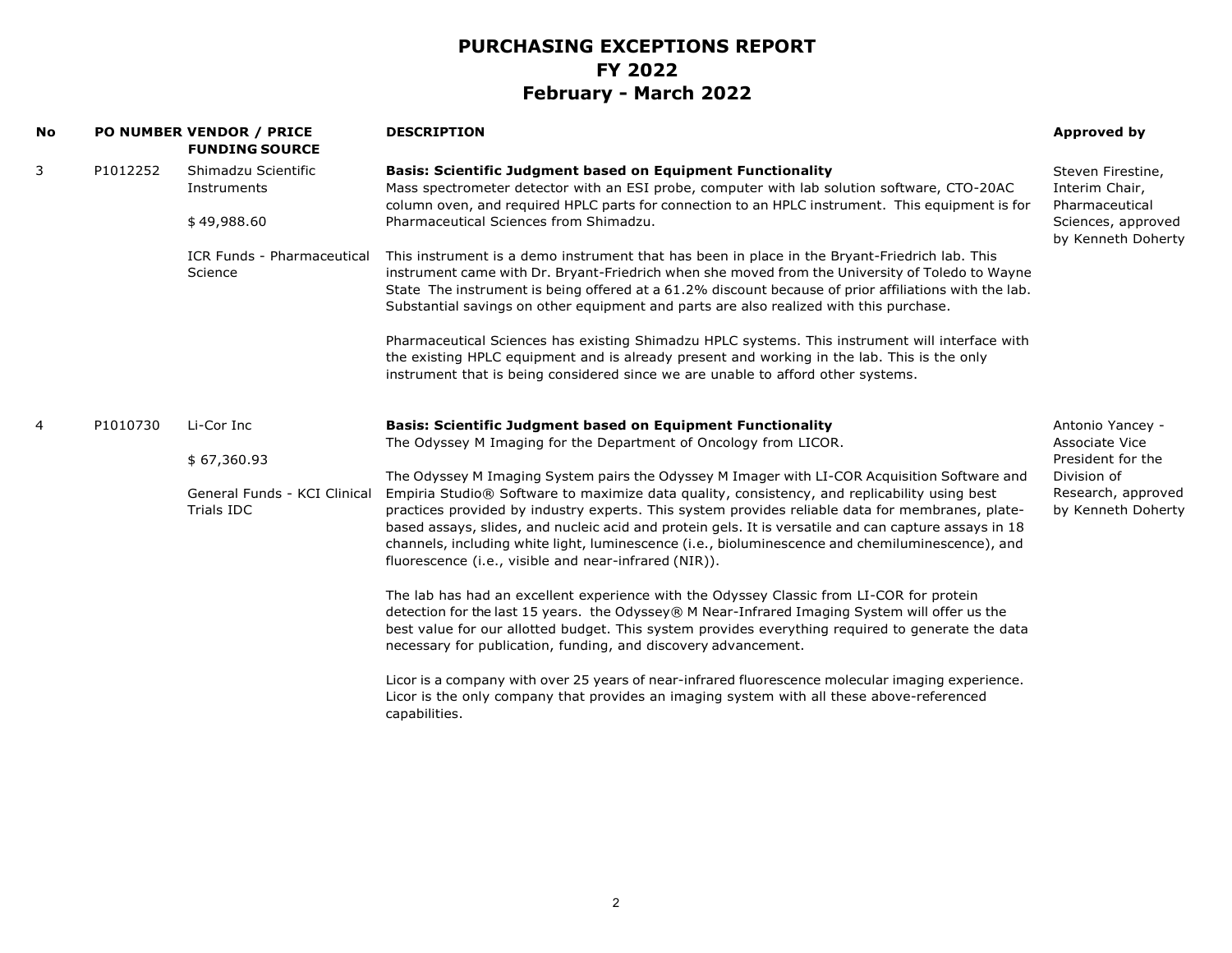| No |          | <b>PO NUMBER VENDOR / PRICE</b><br><b>FUNDING SOURCE</b> | <b>DESCRIPTION</b>                                                                                                                                                                                                                                                                                                                                                                                                                                                                                                                                                     | Approved by                                                                                       |
|----|----------|----------------------------------------------------------|------------------------------------------------------------------------------------------------------------------------------------------------------------------------------------------------------------------------------------------------------------------------------------------------------------------------------------------------------------------------------------------------------------------------------------------------------------------------------------------------------------------------------------------------------------------------|---------------------------------------------------------------------------------------------------|
| 3  | P1012252 | Shimadzu Scientific<br>Instruments<br>\$49,988.60        | <b>Basis: Scientific Judgment based on Equipment Functionality</b><br>Mass spectrometer detector with an ESI probe, computer with lab solution software, CTO-20AC<br>column oven, and required HPLC parts for connection to an HPLC instrument. This equipment is for<br>Pharmaceutical Sciences from Shimadzu.                                                                                                                                                                                                                                                        | Steven Firestine,<br>Interim Chair,<br>Pharmaceutical<br>Sciences, approved<br>by Kenneth Doherty |
|    |          | ICR Funds - Pharmaceutical<br>Science                    | This instrument is a demo instrument that has been in place in the Bryant-Friedrich lab. This<br>instrument came with Dr. Bryant-Friedrich when she moved from the University of Toledo to Wayne<br>State The instrument is being offered at a 61.2% discount because of prior affiliations with the lab.<br>Substantial savings on other equipment and parts are also realized with this purchase.                                                                                                                                                                    |                                                                                                   |
|    |          |                                                          | Pharmaceutical Sciences has existing Shimadzu HPLC systems. This instrument will interface with<br>the existing HPLC equipment and is already present and working in the lab. This is the only<br>instrument that is being considered since we are unable to afford other systems.                                                                                                                                                                                                                                                                                     |                                                                                                   |
| 4  | P1010730 | Li-Cor Inc                                               | <b>Basis: Scientific Judgment based on Equipment Functionality</b><br>The Odyssey M Imaging for the Department of Oncology from LICOR.                                                                                                                                                                                                                                                                                                                                                                                                                                 | Antonio Yancey -<br>Associate Vice                                                                |
|    |          | \$67,360.93                                              |                                                                                                                                                                                                                                                                                                                                                                                                                                                                                                                                                                        | President for the<br>Division of                                                                  |
|    |          | General Funds - KCI Clinical<br>Trials IDC               | The Odyssey M Imaging System pairs the Odyssey M Imager with LI-COR Acquisition Software and<br>Empiria Studio® Software to maximize data quality, consistency, and replicability using best<br>practices provided by industry experts. This system provides reliable data for membranes, plate-<br>based assays, slides, and nucleic acid and protein gels. It is versatile and can capture assays in 18<br>channels, including white light, luminescence (i.e., bioluminescence and chemiluminescence), and<br>fluorescence (i.e., visible and near-infrared (NIR)). | Research, approved<br>by Kenneth Doherty                                                          |
|    |          |                                                          | The lab has had an excellent experience with the Odyssey Classic from LI-COR for protein<br>detection for the last 15 years. the Odyssey® M Near-Infrared Imaging System will offer us the<br>best value for our allotted budget. This system provides everything required to generate the data<br>necessary for publication, funding, and discovery advancement.                                                                                                                                                                                                      |                                                                                                   |
|    |          |                                                          | Licor is a company with over 25 years of near-infrared fluorescence molecular imaging experience.<br>Licor is the only company that provides an imaging system with all these above-referenced<br>capabilities.                                                                                                                                                                                                                                                                                                                                                        |                                                                                                   |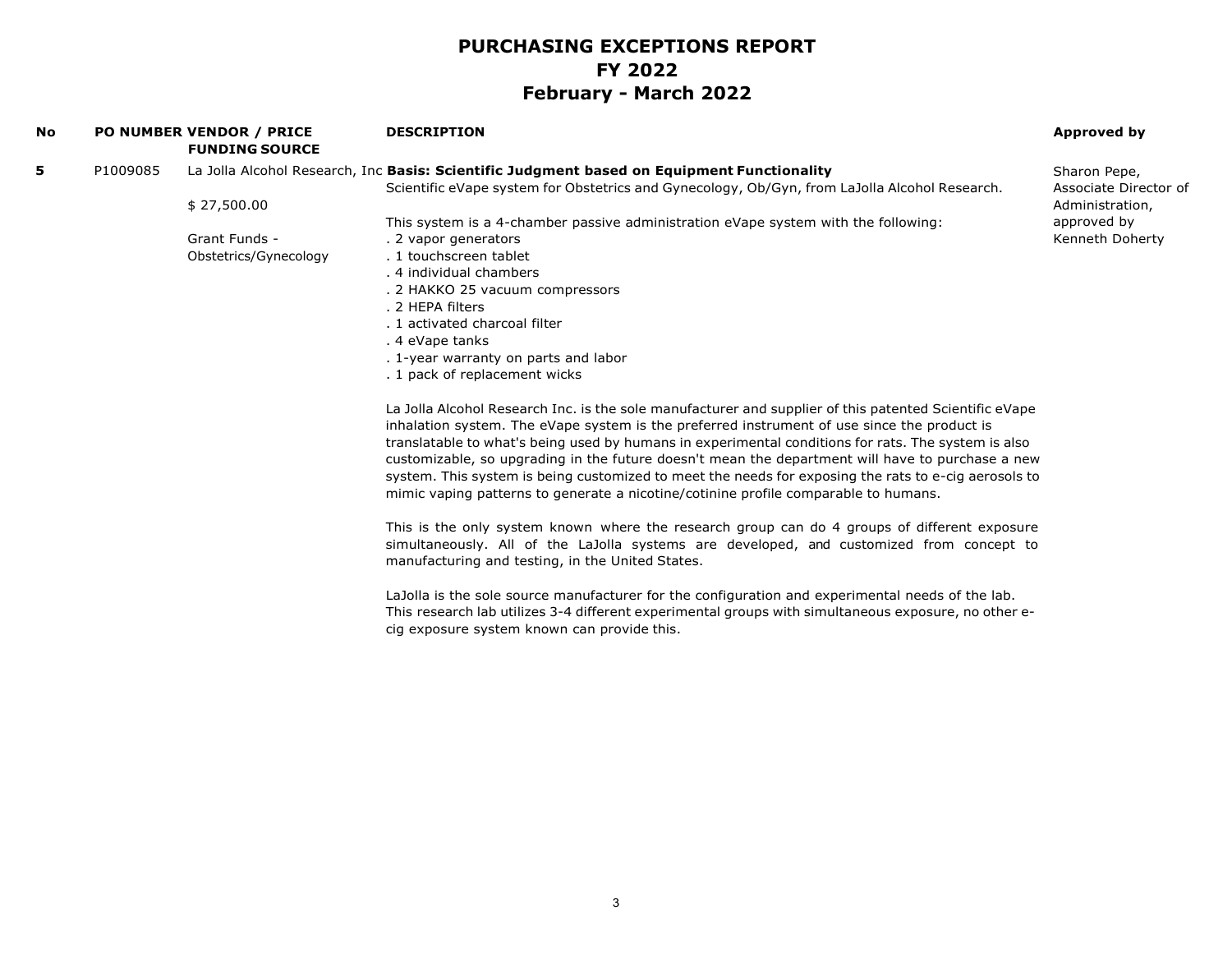| No |          | <b>PO NUMBER VENDOR / PRICE</b><br><b>FUNDING SOURCE</b> | <b>DESCRIPTION</b>                                                                                                                                                                                    | <b>Approved by</b>                                |
|----|----------|----------------------------------------------------------|-------------------------------------------------------------------------------------------------------------------------------------------------------------------------------------------------------|---------------------------------------------------|
| 5  | P1009085 |                                                          | La Jolla Alcohol Research, Inc Basis: Scientific Judgment based on Equipment Functionality                                                                                                            | Sharon Pepe,                                      |
|    |          | \$27,500.00                                              | Scientific eVape system for Obstetrics and Gynecology, Ob/Gyn, from LaJolla Alcohol Research.                                                                                                         | Associate Director of                             |
|    |          |                                                          | This system is a 4-chamber passive administration eVape system with the following:                                                                                                                    |                                                   |
|    |          | Grant Funds -                                            | . 2 vapor generators                                                                                                                                                                                  |                                                   |
|    |          | Obstetrics/Gynecology                                    | . 1 touchscreen tablet                                                                                                                                                                                |                                                   |
|    |          |                                                          | . 4 individual chambers                                                                                                                                                                               |                                                   |
|    |          |                                                          | . 2 HAKKO 25 vacuum compressors                                                                                                                                                                       |                                                   |
|    |          |                                                          | . 2 HEPA filters                                                                                                                                                                                      |                                                   |
|    |          |                                                          | . 1 activated charcoal filter                                                                                                                                                                         |                                                   |
|    |          |                                                          | . 4 eVape tanks                                                                                                                                                                                       |                                                   |
|    |          |                                                          | . 1-year warranty on parts and labor                                                                                                                                                                  |                                                   |
|    |          |                                                          | . 1 pack of replacement wicks                                                                                                                                                                         |                                                   |
|    |          |                                                          | La Jolla Alcohol Research Inc. is the sole manufacturer and supplier of this patented Scientific eVape<br>inhalation system. The eVape system is the preferred instrument of use since the product is |                                                   |
|    |          |                                                          | translatable to what's being used by humans in experimental conditions for rats. The system is also                                                                                                   |                                                   |
|    |          |                                                          | customizable, so upgrading in the future doesn't mean the department will have to purchase a new                                                                                                      |                                                   |
|    |          |                                                          | system. This system is being customized to meet the needs for exposing the rats to e-cig aerosols to                                                                                                  |                                                   |
|    |          |                                                          | mimic vaping patterns to generate a nicotine/cotinine profile comparable to humans.                                                                                                                   |                                                   |
|    |          |                                                          | This is the only system known where the research group can do 4 groups of different exposure                                                                                                          | Administration,<br>approved by<br>Kenneth Doherty |
|    |          |                                                          | simultaneously. All of the LaJolla systems are developed, and customized from concept to<br>manufacturing and testing, in the United States.                                                          |                                                   |
|    |          |                                                          | LaJolla is the sole source manufacturer for the configuration and experimental needs of the lab.                                                                                                      |                                                   |
|    |          |                                                          | This research lab utilizes 3-4 different experimental groups with simultaneous exposure, no other e-<br>ciq exposure system known can provide this.                                                   |                                                   |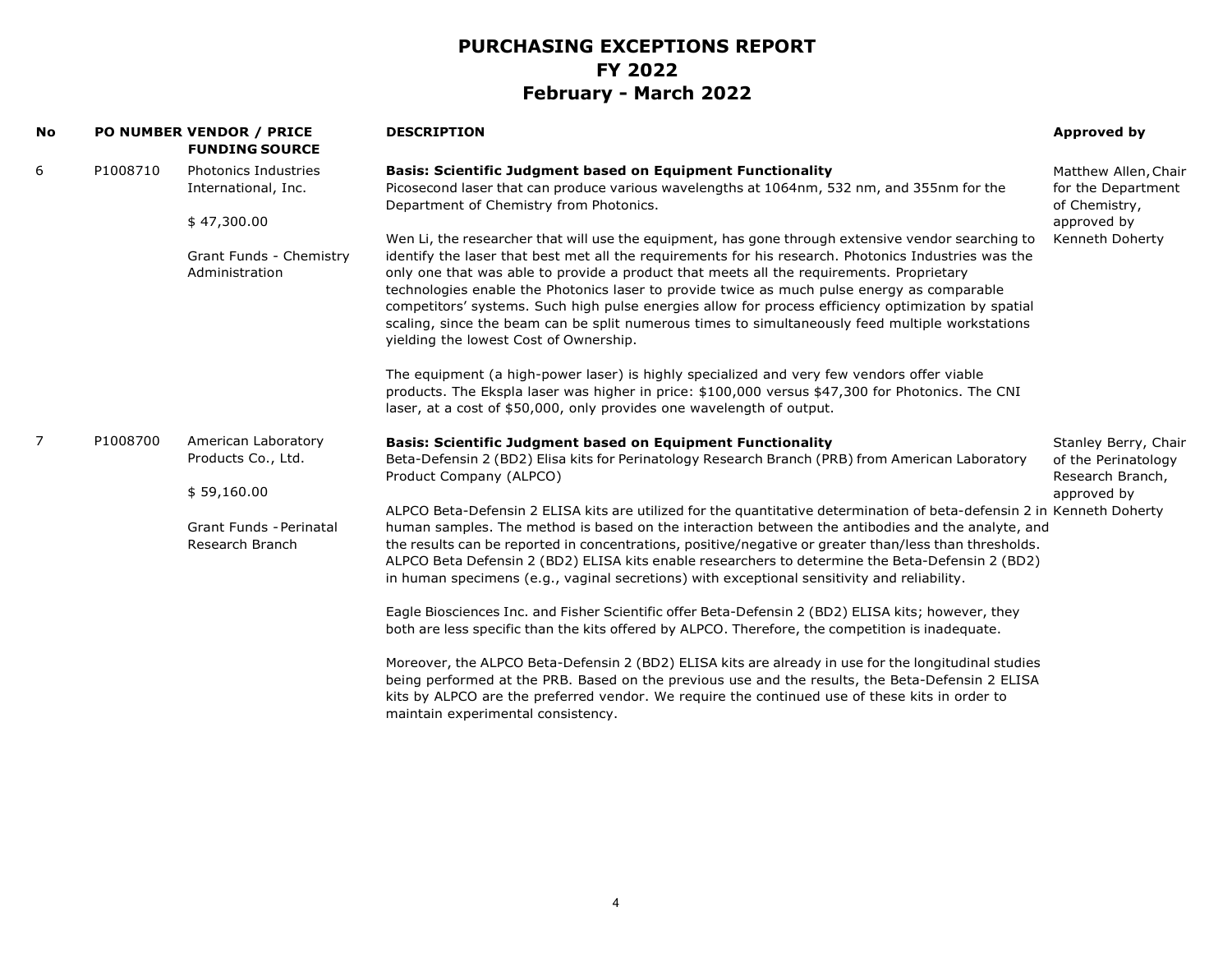| No |          | PO NUMBER VENDOR / PRICE<br><b>FUNDING SOURCE</b>                 | <b>DESCRIPTION</b>                                                                                                                                                                                                                                                                                                                                                                                                                                                                                                                                                                                                                                         | <b>Approved by</b>                                                             |
|----|----------|-------------------------------------------------------------------|------------------------------------------------------------------------------------------------------------------------------------------------------------------------------------------------------------------------------------------------------------------------------------------------------------------------------------------------------------------------------------------------------------------------------------------------------------------------------------------------------------------------------------------------------------------------------------------------------------------------------------------------------------|--------------------------------------------------------------------------------|
| 6  | P1008710 | <b>Photonics Industries</b><br>International, Inc.<br>\$47,300.00 | <b>Basis: Scientific Judgment based on Equipment Functionality</b><br>Picosecond laser that can produce various wavelengths at 1064nm, 532 nm, and 355nm for the<br>Department of Chemistry from Photonics.                                                                                                                                                                                                                                                                                                                                                                                                                                                | Matthew Allen, Chair<br>for the Department<br>of Chemistry,<br>approved by     |
|    |          | Grant Funds - Chemistry<br>Administration                         | Wen Li, the researcher that will use the equipment, has gone through extensive vendor searching to<br>identify the laser that best met all the requirements for his research. Photonics Industries was the<br>only one that was able to provide a product that meets all the requirements. Proprietary<br>technologies enable the Photonics laser to provide twice as much pulse energy as comparable<br>competitors' systems. Such high pulse energies allow for process efficiency optimization by spatial<br>scaling, since the beam can be split numerous times to simultaneously feed multiple workstations<br>yielding the lowest Cost of Ownership. | Kenneth Doherty                                                                |
|    |          |                                                                   | The equipment (a high-power laser) is highly specialized and very few vendors offer viable<br>products. The Ekspla laser was higher in price: \$100,000 versus \$47,300 for Photonics. The CNI<br>laser, at a cost of \$50,000, only provides one wavelength of output.                                                                                                                                                                                                                                                                                                                                                                                    |                                                                                |
| 7  | P1008700 | American Laboratory<br>Products Co., Ltd.<br>\$59,160.00          | <b>Basis: Scientific Judgment based on Equipment Functionality</b><br>Beta-Defensin 2 (BD2) Elisa kits for Perinatology Research Branch (PRB) from American Laboratory<br>Product Company (ALPCO)                                                                                                                                                                                                                                                                                                                                                                                                                                                          | Stanley Berry, Chair<br>of the Perinatology<br>Research Branch,<br>approved by |
|    |          | <b>Grant Funds - Perinatal</b><br>Research Branch                 | ALPCO Beta-Defensin 2 ELISA kits are utilized for the quantitative determination of beta-defensin 2 in Kenneth Doherty<br>human samples. The method is based on the interaction between the antibodies and the analyte, and<br>the results can be reported in concentrations, positive/negative or greater than/less than thresholds.<br>ALPCO Beta Defensin 2 (BD2) ELISA kits enable researchers to determine the Beta-Defensin 2 (BD2)<br>in human specimens (e.g., vaginal secretions) with exceptional sensitivity and reliability.                                                                                                                   |                                                                                |
|    |          |                                                                   | Eagle Biosciences Inc. and Fisher Scientific offer Beta-Defensin 2 (BD2) ELISA kits; however, they<br>both are less specific than the kits offered by ALPCO. Therefore, the competition is inadequate.                                                                                                                                                                                                                                                                                                                                                                                                                                                     |                                                                                |
|    |          |                                                                   | Moreover, the ALPCO Beta-Defensin 2 (BD2) ELISA kits are already in use for the longitudinal studies<br>being performed at the PRB. Based on the previous use and the results, the Beta-Defensin 2 ELISA<br>kits by ALPCO are the preferred vendor. We require the continued use of these kits in order to<br>maintain experimental consistency.                                                                                                                                                                                                                                                                                                           |                                                                                |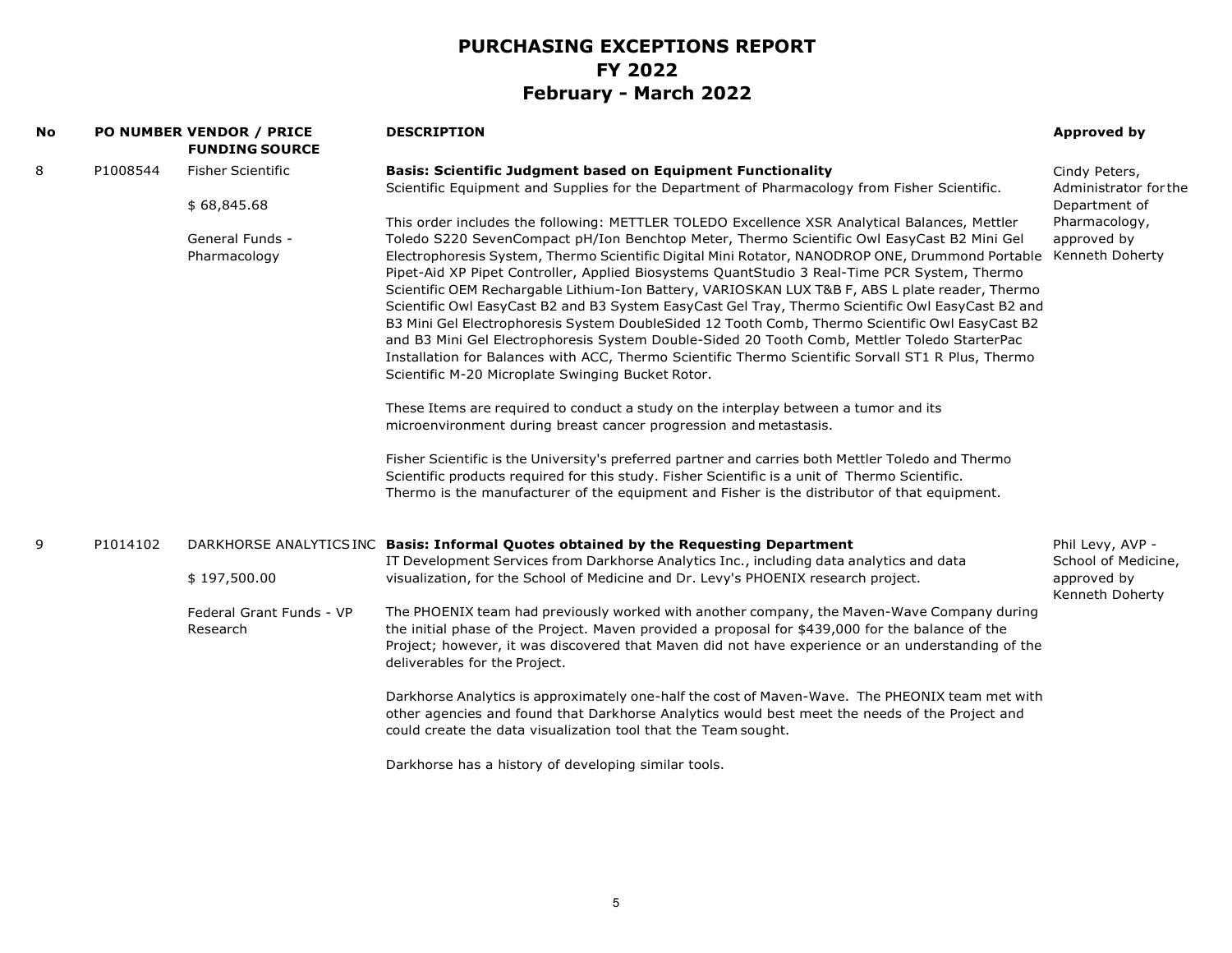| No |          | <b>PO NUMBER VENDOR / PRICE</b><br><b>FUNDING SOURCE</b> | <b>DESCRIPTION</b>                                                                                                                                                                              | <b>Approved by</b>             |
|----|----------|----------------------------------------------------------|-------------------------------------------------------------------------------------------------------------------------------------------------------------------------------------------------|--------------------------------|
| 8  | P1008544 | <b>Fisher Scientific</b>                                 | <b>Basis: Scientific Judgment based on Equipment Functionality</b>                                                                                                                              | Cindy Peters,                  |
|    |          |                                                          | Scientific Equipment and Supplies for the Department of Pharmacology from Fisher Scientific.                                                                                                    | Administrator for the          |
|    |          | \$68,845.68                                              |                                                                                                                                                                                                 | Department of                  |
|    |          |                                                          | This order includes the following: METTLER TOLEDO Excellence XSR Analytical Balances, Mettler                                                                                                   | Pharmacology,                  |
|    |          | General Funds -                                          | Toledo S220 SevenCompact pH/Ion Benchtop Meter, Thermo Scientific Owl EasyCast B2 Mini Gel                                                                                                      | approved by                    |
|    |          | Pharmacology                                             | Electrophoresis System, Thermo Scientific Digital Mini Rotator, NANODROP ONE, Drummond Portable                                                                                                 | Kenneth Doherty                |
|    |          |                                                          | Pipet-Aid XP Pipet Controller, Applied Biosystems QuantStudio 3 Real-Time PCR System, Thermo                                                                                                    |                                |
|    |          |                                                          | Scientific OEM Rechargable Lithium-Ion Battery, VARIOSKAN LUX T&B F, ABS L plate reader, Thermo                                                                                                 |                                |
|    |          |                                                          | Scientific Owl EasyCast B2 and B3 System EasyCast Gel Tray, Thermo Scientific Owl EasyCast B2 and                                                                                               |                                |
|    |          |                                                          | B3 Mini Gel Electrophoresis System DoubleSided 12 Tooth Comb, Thermo Scientific Owl EasyCast B2<br>and B3 Mini Gel Electrophoresis System Double-Sided 20 Tooth Comb, Mettler Toledo StarterPac |                                |
|    |          |                                                          | Installation for Balances with ACC, Thermo Scientific Thermo Scientific Sorvall ST1 R Plus, Thermo                                                                                              |                                |
|    |          |                                                          | Scientific M-20 Microplate Swinging Bucket Rotor.                                                                                                                                               |                                |
|    |          |                                                          |                                                                                                                                                                                                 |                                |
|    |          |                                                          | These Items are required to conduct a study on the interplay between a tumor and its                                                                                                            |                                |
|    |          |                                                          | microenvironment during breast cancer progression and metastasis.                                                                                                                               |                                |
|    |          |                                                          |                                                                                                                                                                                                 |                                |
|    |          |                                                          | Fisher Scientific is the University's preferred partner and carries both Mettler Toledo and Thermo                                                                                              |                                |
|    |          |                                                          | Scientific products required for this study. Fisher Scientific is a unit of Thermo Scientific.                                                                                                  |                                |
|    |          |                                                          | Thermo is the manufacturer of the equipment and Fisher is the distributor of that equipment.                                                                                                    |                                |
| 9  | P1014102 |                                                          | DARKHORSE ANALYTICS INC Basis: Informal Quotes obtained by the Requesting Department                                                                                                            | Phil Levy, AVP -               |
|    |          |                                                          | IT Development Services from Darkhorse Analytics Inc., including data analytics and data                                                                                                        | School of Medicine,            |
|    |          | \$197,500.00                                             | visualization, for the School of Medicine and Dr. Levy's PHOENIX research project.                                                                                                              | approved by<br>Kenneth Doherty |
|    |          | Federal Grant Funds - VP                                 | The PHOENIX team had previously worked with another company, the Maven-Wave Company during                                                                                                      |                                |
|    |          | Research                                                 | the initial phase of the Project. Maven provided a proposal for \$439,000 for the balance of the                                                                                                |                                |
|    |          |                                                          | Project; however, it was discovered that Maven did not have experience or an understanding of the                                                                                               |                                |
|    |          |                                                          | deliverables for the Project.                                                                                                                                                                   |                                |
|    |          |                                                          | Darkhorse Analytics is approximately one-half the cost of Maven-Wave. The PHEONIX team met with                                                                                                 |                                |
|    |          |                                                          | other agencies and found that Darkhorse Analytics would best meet the needs of the Project and                                                                                                  |                                |
|    |          |                                                          | could create the data visualization tool that the Team sought.                                                                                                                                  |                                |
|    |          |                                                          | Darkhorse has a history of developing similar tools.                                                                                                                                            |                                |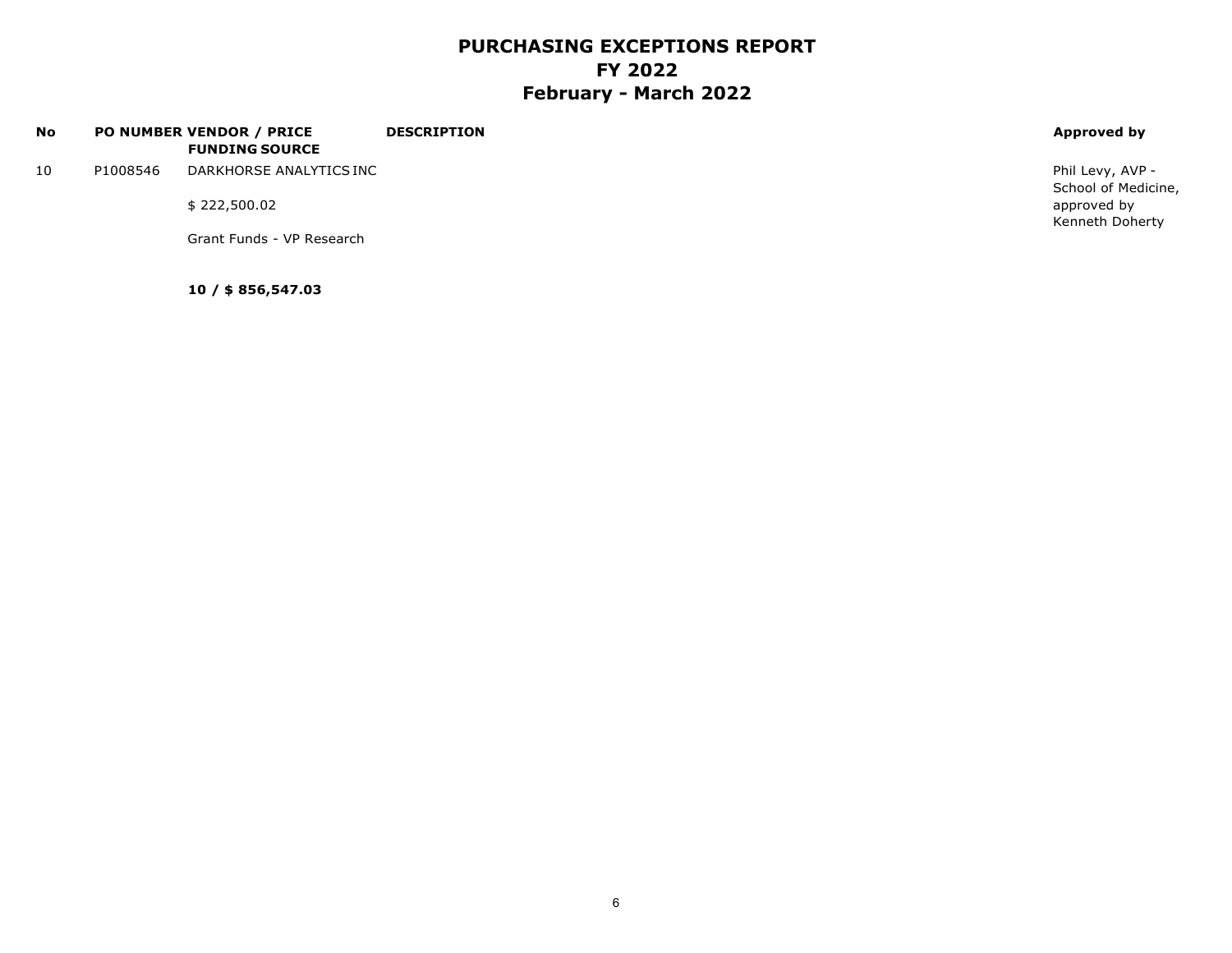| <b>No</b> |          | <b>PO NUMBER VENDOR / PRICE</b><br><b>FUNDING SOURCE</b> | <b>DESCRIPTION</b> | Approved by                             |
|-----------|----------|----------------------------------------------------------|--------------------|-----------------------------------------|
| 10        | P1008546 | DARKHORSE ANALYTICS INC                                  |                    | Phil Levy, AVP -<br>School of Medicine, |
|           |          | \$222,500.02                                             |                    | approved by<br>Kenneth Doherty          |
|           |          | Grant Funds - VP Research                                |                    |                                         |

**10 / \$ 856,547.03**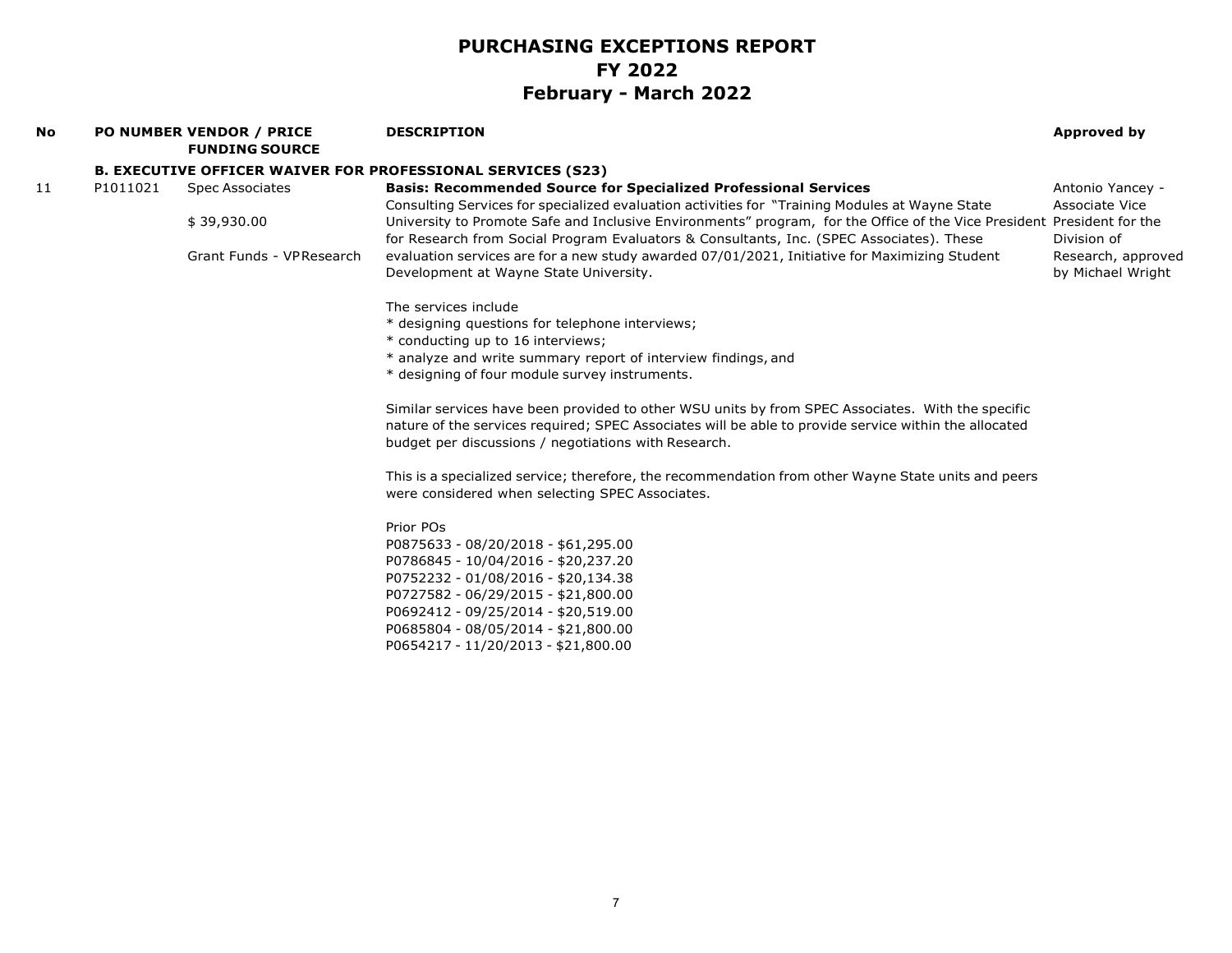| No |          | <b>PO NUMBER VENDOR / PRICE</b><br><b>FUNDING SOURCE</b> | <b>DESCRIPTION</b>                                                                                                                                                                                                 | <b>Approved by</b>                      |
|----|----------|----------------------------------------------------------|--------------------------------------------------------------------------------------------------------------------------------------------------------------------------------------------------------------------|-----------------------------------------|
|    |          |                                                          | <b>B. EXECUTIVE OFFICER WAIVER FOR PROFESSIONAL SERVICES (S23)</b>                                                                                                                                                 |                                         |
| 11 | P1011021 | <b>Spec Associates</b>                                   | <b>Basis: Recommended Source for Specialized Professional Services</b><br>Consulting Services for specialized evaluation activities for "Training Modules at Wayne State                                           | Antonio Yancey -<br>Associate Vice      |
|    |          | \$39,930.00                                              | University to Promote Safe and Inclusive Environments" program, for the Office of the Vice President President for the<br>for Research from Social Program Evaluators & Consultants, Inc. (SPEC Associates). These | Division of                             |
|    |          | Grant Funds - VPResearch                                 | evaluation services are for a new study awarded 07/01/2021, Initiative for Maximizing Student<br>Development at Wayne State University.                                                                            | Research, approved<br>by Michael Wright |
|    |          |                                                          | The services include                                                                                                                                                                                               |                                         |
|    |          |                                                          | * designing questions for telephone interviews;                                                                                                                                                                    |                                         |
|    |          |                                                          | * conducting up to 16 interviews;                                                                                                                                                                                  |                                         |
|    |          |                                                          | * analyze and write summary report of interview findings, and                                                                                                                                                      |                                         |
|    |          |                                                          | * designing of four module survey instruments.                                                                                                                                                                     |                                         |
|    |          |                                                          | Similar services have been provided to other WSU units by from SPEC Associates. With the specific                                                                                                                  |                                         |
|    |          |                                                          | nature of the services required; SPEC Associates will be able to provide service within the allocated<br>budget per discussions / negotiations with Research.                                                      |                                         |
|    |          |                                                          | This is a specialized service; therefore, the recommendation from other Wayne State units and peers<br>were considered when selecting SPEC Associates.                                                             |                                         |
|    |          |                                                          | Prior POs                                                                                                                                                                                                          |                                         |
|    |          |                                                          | P0875633 - 08/20/2018 - \$61,295.00                                                                                                                                                                                |                                         |
|    |          |                                                          | P0786845 - 10/04/2016 - \$20,237.20                                                                                                                                                                                |                                         |
|    |          |                                                          | P0752232 - 01/08/2016 - \$20,134.38                                                                                                                                                                                |                                         |
|    |          |                                                          | P0727582 - 06/29/2015 - \$21,800.00                                                                                                                                                                                |                                         |
|    |          |                                                          | P0692412 - 09/25/2014 - \$20,519.00                                                                                                                                                                                |                                         |
|    |          |                                                          | P0685804 - 08/05/2014 - \$21,800.00                                                                                                                                                                                |                                         |
|    |          |                                                          | P0654217 - 11/20/2013 - \$21,800.00                                                                                                                                                                                |                                         |
|    |          |                                                          |                                                                                                                                                                                                                    |                                         |
|    |          |                                                          |                                                                                                                                                                                                                    |                                         |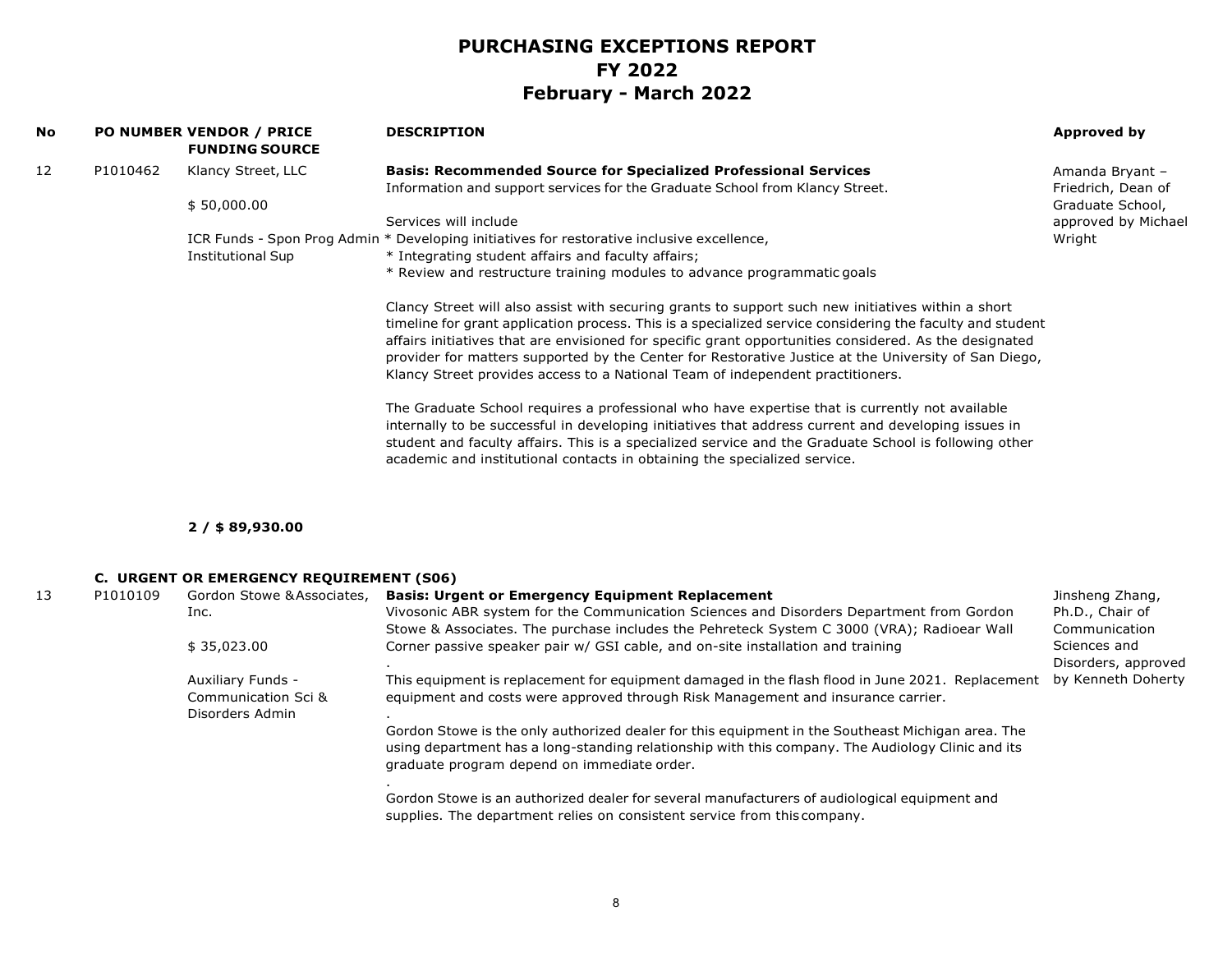| No. |          | PO NUMBER VENDOR / PRICE<br><b>FUNDING SOURCE</b> | <b>DESCRIPTION</b>                                                                                                                                                                                                                                                                                                                                                                                                                                                                                                  | <b>Approved by</b> |
|-----|----------|---------------------------------------------------|---------------------------------------------------------------------------------------------------------------------------------------------------------------------------------------------------------------------------------------------------------------------------------------------------------------------------------------------------------------------------------------------------------------------------------------------------------------------------------------------------------------------|--------------------|
| 12  | P1010462 | Klancy Street, LLC                                | <b>Basis: Recommended Source for Specialized Professional Services</b>                                                                                                                                                                                                                                                                                                                                                                                                                                              | Amanda Bryant -    |
|     |          |                                                   | Information and support services for the Graduate School from Klancy Street.                                                                                                                                                                                                                                                                                                                                                                                                                                        | Friedrich, Dean of |
|     |          | \$50,000.00                                       |                                                                                                                                                                                                                                                                                                                                                                                                                                                                                                                     | Graduate School,   |
|     |          |                                                   | Services will include                                                                                                                                                                                                                                                                                                                                                                                                                                                                                               | approved by Micha  |
|     |          |                                                   | ICR Funds - Spon Prog Admin * Developing initiatives for restorative inclusive excellence,                                                                                                                                                                                                                                                                                                                                                                                                                          | Wright             |
|     |          | <b>Institutional Sup</b>                          | * Integrating student affairs and faculty affairs;                                                                                                                                                                                                                                                                                                                                                                                                                                                                  |                    |
|     |          |                                                   | * Review and restructure training modules to advance programmatic goals                                                                                                                                                                                                                                                                                                                                                                                                                                             |                    |
|     |          |                                                   | Clancy Street will also assist with securing grants to support such new initiatives within a short<br>timeline for grant application process. This is a specialized service considering the faculty and student<br>affairs initiatives that are envisioned for specific grant opportunities considered. As the designated<br>provider for matters supported by the Center for Restorative Justice at the University of San Diego,<br>Klancy Street provides access to a National Team of independent practitioners. |                    |
|     |          |                                                   | The Graduate School requires a professional who have expertise that is currently not available<br>internally to be successful in developing initiatives that address current and developing issues in<br>student and faculty affairs. This is a specialized service and the Graduate School is following other<br>academic and institutional contacts in obtaining the specialized service.                                                                                                                         |                    |

#### **2 / \$ 89,930.00**

#### **C. URGENT OR EMERGENCY REQUIREMENT (S06)**

| 13 | P1010109 | Gordon Stowe & Associates, | <b>Basis: Urgent or Emergency Equipment Replacement</b>                                           | Jinsheng Zhang,     |
|----|----------|----------------------------|---------------------------------------------------------------------------------------------------|---------------------|
|    |          | Inc.                       | Vivosonic ABR system for the Communication Sciences and Disorders Department from Gordon          | Ph.D., Chair of     |
|    |          |                            | Stowe & Associates. The purchase includes the Pehreteck System C 3000 (VRA); Radioear Wall        | Communication       |
|    |          | \$35,023.00                | Corner passive speaker pair w/ GSI cable, and on-site installation and training                   | Sciences and        |
|    |          |                            |                                                                                                   | Disorders, approved |
|    |          | Auxiliary Funds -          | This equipment is replacement for equipment damaged in the flash flood in June 2021. Replacement  | by Kenneth Doherty  |
|    |          | Communication Sci &        | equipment and costs were approved through Risk Management and insurance carrier.                  |                     |
|    |          | Disorders Admin            |                                                                                                   |                     |
|    |          |                            | Gordon Stowe is the only authorized dealer for this equipment in the Southeast Michigan area. The |                     |
|    |          |                            | using department has a long-standing relationship with this company. The Audiology Clinic and its |                     |
|    |          |                            | graduate program depend on immediate order.                                                       |                     |
|    |          |                            |                                                                                                   |                     |
|    |          |                            | Gordon Stowe is an authorized dealer for several manufacturers of audiological equipment and      |                     |
|    |          |                            | supplies. The department relies on consistent service from this company.                          |                     |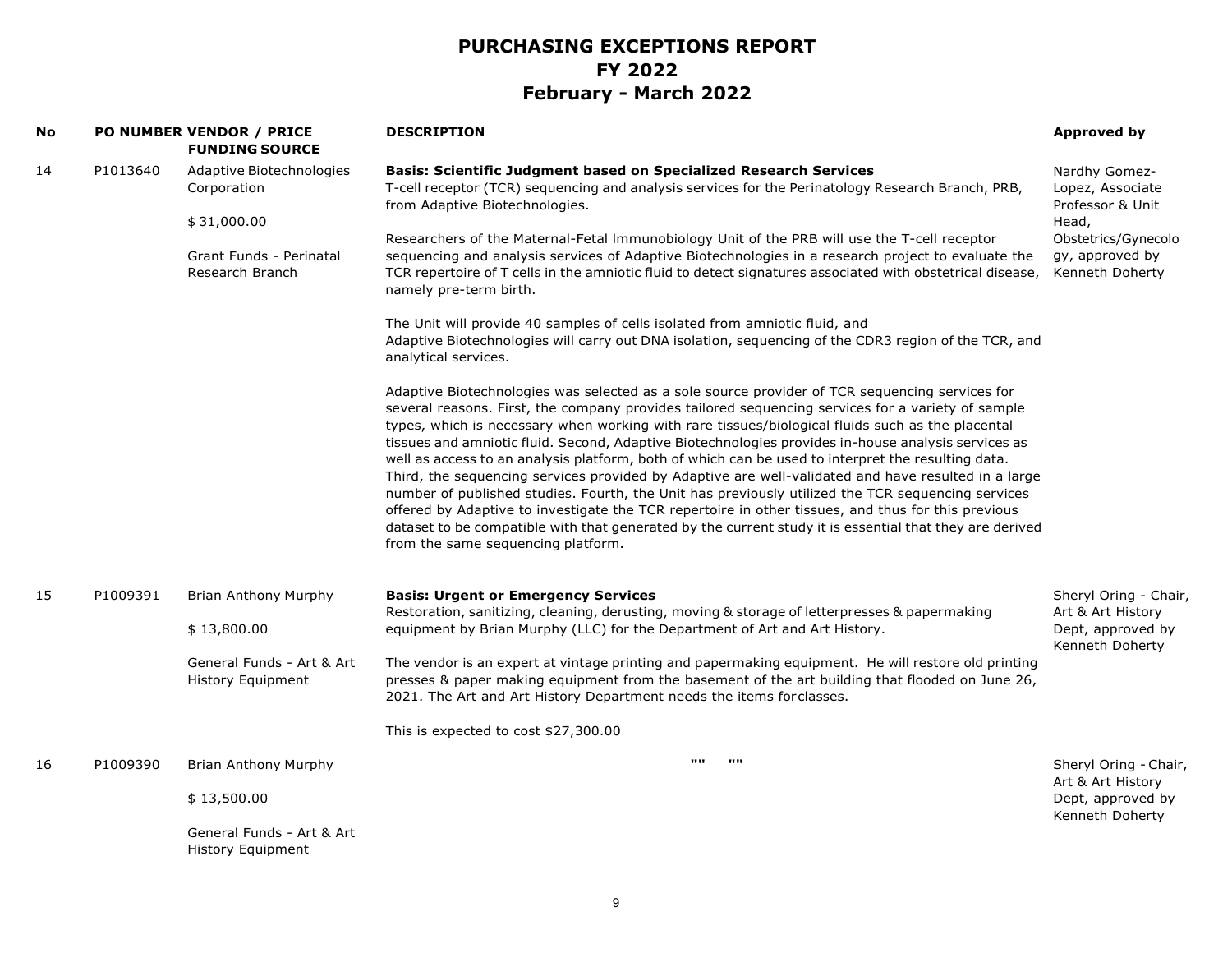| No |          | PO NUMBER VENDOR / PRICE<br><b>FUNDING SOURCE</b>      | <b>DESCRIPTION</b>                                                                                                                                                                                                                                                                                                                                                                                                                                                                                                                                                                                                                                                                                                                                                                                                                                                                                                                                                                      | Approved by                                                    |
|----|----------|--------------------------------------------------------|-----------------------------------------------------------------------------------------------------------------------------------------------------------------------------------------------------------------------------------------------------------------------------------------------------------------------------------------------------------------------------------------------------------------------------------------------------------------------------------------------------------------------------------------------------------------------------------------------------------------------------------------------------------------------------------------------------------------------------------------------------------------------------------------------------------------------------------------------------------------------------------------------------------------------------------------------------------------------------------------|----------------------------------------------------------------|
| 14 | P1013640 | Adaptive Biotechnologies<br>Corporation<br>\$31,000.00 | <b>Basis: Scientific Judgment based on Specialized Research Services</b><br>T-cell receptor (TCR) sequencing and analysis services for the Perinatology Research Branch, PRB,<br>from Adaptive Biotechnologies.                                                                                                                                                                                                                                                                                                                                                                                                                                                                                                                                                                                                                                                                                                                                                                         | Nardhy Gomez-<br>Lopez, Associate<br>Professor & Unit<br>Head, |
|    |          | Grant Funds - Perinatal<br>Research Branch             | Researchers of the Maternal-Fetal Immunobiology Unit of the PRB will use the T-cell receptor<br>sequencing and analysis services of Adaptive Biotechnologies in a research project to evaluate the<br>TCR repertoire of T cells in the amniotic fluid to detect signatures associated with obstetrical disease,<br>namely pre-term birth.                                                                                                                                                                                                                                                                                                                                                                                                                                                                                                                                                                                                                                               | Obstetrics/Gynecolo<br>gy, approved by<br>Kenneth Doherty      |
|    |          |                                                        | The Unit will provide 40 samples of cells isolated from amniotic fluid, and<br>Adaptive Biotechnologies will carry out DNA isolation, sequencing of the CDR3 region of the TCR, and<br>analytical services.                                                                                                                                                                                                                                                                                                                                                                                                                                                                                                                                                                                                                                                                                                                                                                             |                                                                |
|    |          |                                                        | Adaptive Biotechnologies was selected as a sole source provider of TCR sequencing services for<br>several reasons. First, the company provides tailored sequencing services for a variety of sample<br>types, which is necessary when working with rare tissues/biological fluids such as the placental<br>tissues and amniotic fluid. Second, Adaptive Biotechnologies provides in-house analysis services as<br>well as access to an analysis platform, both of which can be used to interpret the resulting data.<br>Third, the sequencing services provided by Adaptive are well-validated and have resulted in a large<br>number of published studies. Fourth, the Unit has previously utilized the TCR sequencing services<br>offered by Adaptive to investigate the TCR repertoire in other tissues, and thus for this previous<br>dataset to be compatible with that generated by the current study it is essential that they are derived<br>from the same sequencing platform. |                                                                |
| 15 | P1009391 | Brian Anthony Murphy                                   | <b>Basis: Urgent or Emergency Services</b><br>Restoration, sanitizing, cleaning, derusting, moving & storage of letterpresses & papermaking                                                                                                                                                                                                                                                                                                                                                                                                                                                                                                                                                                                                                                                                                                                                                                                                                                             | Sheryl Oring - Chair,<br>Art & Art History                     |
|    |          | \$13,800.00                                            | equipment by Brian Murphy (LLC) for the Department of Art and Art History.                                                                                                                                                                                                                                                                                                                                                                                                                                                                                                                                                                                                                                                                                                                                                                                                                                                                                                              | Dept, approved by<br>Kenneth Doherty                           |
|    |          | General Funds - Art & Art<br><b>History Equipment</b>  | The vendor is an expert at vintage printing and papermaking equipment. He will restore old printing<br>presses & paper making equipment from the basement of the art building that flooded on June 26,<br>2021. The Art and Art History Department needs the items forclasses.                                                                                                                                                                                                                                                                                                                                                                                                                                                                                                                                                                                                                                                                                                          |                                                                |
|    |          |                                                        | This is expected to cost \$27,300.00                                                                                                                                                                                                                                                                                                                                                                                                                                                                                                                                                                                                                                                                                                                                                                                                                                                                                                                                                    |                                                                |
| 16 | P1009390 | <b>Brian Anthony Murphy</b>                            | $\mathbf{u}$<br>1111                                                                                                                                                                                                                                                                                                                                                                                                                                                                                                                                                                                                                                                                                                                                                                                                                                                                                                                                                                    | Sheryl Oring - Chair,<br>Art & Art History                     |
|    |          | \$13,500.00                                            |                                                                                                                                                                                                                                                                                                                                                                                                                                                                                                                                                                                                                                                                                                                                                                                                                                                                                                                                                                                         | Dept, approved by<br>Kenneth Doherty                           |
|    |          | General Funds - Art & Art<br>History Equipment         |                                                                                                                                                                                                                                                                                                                                                                                                                                                                                                                                                                                                                                                                                                                                                                                                                                                                                                                                                                                         |                                                                |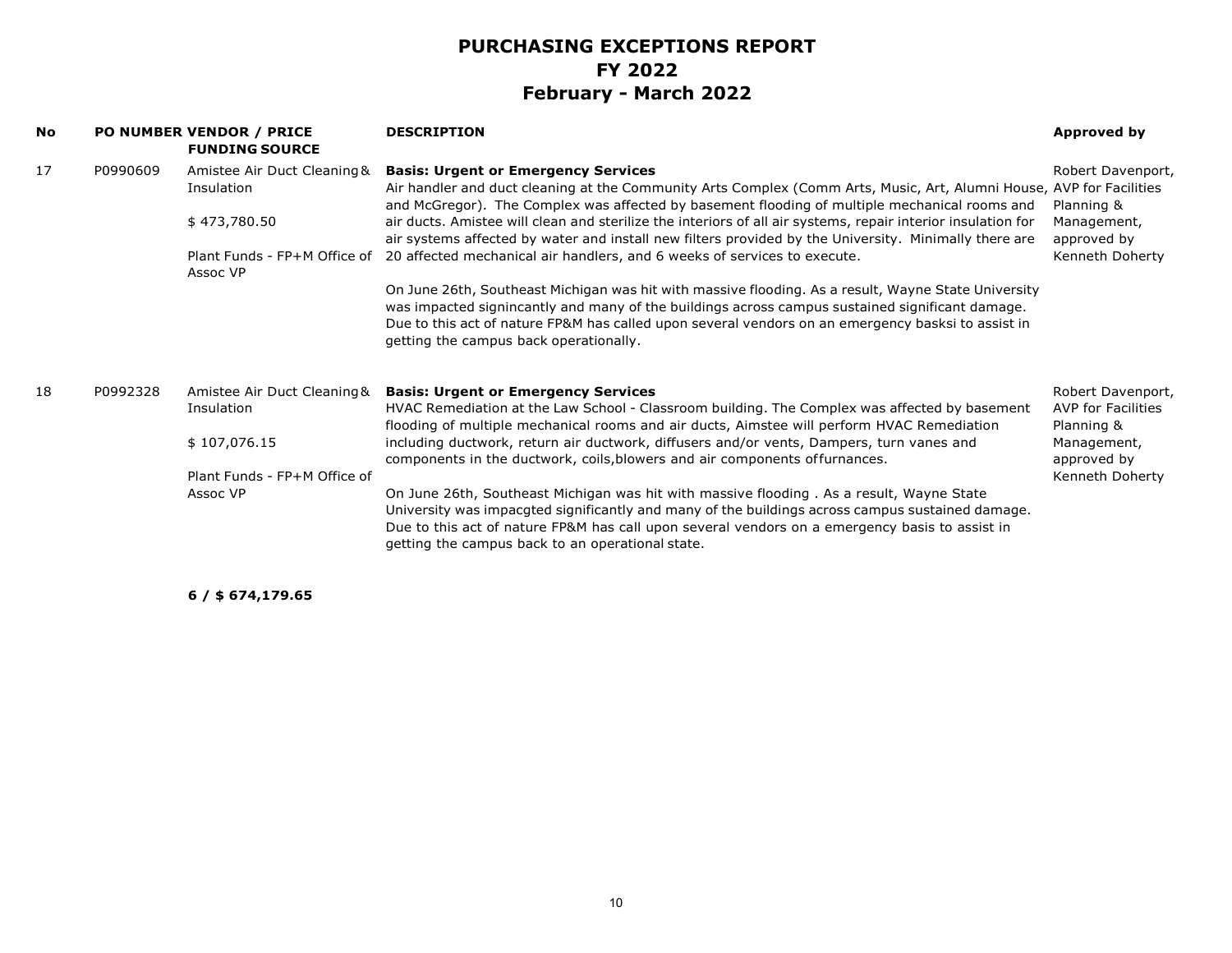| <b>No</b> |          | <b>PO NUMBER VENDOR / PRICE</b><br><b>FUNDING SOURCE</b> | <b>DESCRIPTION</b>                                                                                                                                                                                                                                                                                                                                     | <b>Approved by</b>                                    |
|-----------|----------|----------------------------------------------------------|--------------------------------------------------------------------------------------------------------------------------------------------------------------------------------------------------------------------------------------------------------------------------------------------------------------------------------------------------------|-------------------------------------------------------|
| 17        | P0990609 | Amistee Air Duct Cleaning &<br>Insulation                | <b>Basis: Urgent or Emergency Services</b><br>Air handler and duct cleaning at the Community Arts Complex (Comm Arts, Music, Art, Alumni House, AVP for Facilities<br>and McGregor). The Complex was affected by basement flooding of multiple mechanical rooms and                                                                                    | Robert Davenport,<br>Planning &                       |
|           |          | \$473,780.50                                             | air ducts. Amistee will clean and sterilize the interiors of all air systems, repair interior insulation for<br>air systems affected by water and install new filters provided by the University. Minimally there are                                                                                                                                  | Management,<br>approved by                            |
|           |          | Plant Funds - FP+M Office of<br>Assoc VP                 | 20 affected mechanical air handlers, and 6 weeks of services to execute.                                                                                                                                                                                                                                                                               | Kenneth Doherty                                       |
|           |          |                                                          | On June 26th, Southeast Michigan was hit with massive flooding. As a result, Wayne State University<br>was impacted signincantly and many of the buildings across campus sustained significant damage.<br>Due to this act of nature FP&M has called upon several vendors on an emergency basksi to assist in<br>getting the campus back operationally. |                                                       |
| 18        | P0992328 | Amistee Air Duct Cleaning &<br>Insulation                | <b>Basis: Urgent or Emergency Services</b><br>HVAC Remediation at the Law School - Classroom building. The Complex was affected by basement<br>flooding of multiple mechanical rooms and air ducts, Aimstee will perform HVAC Remediation                                                                                                              | Robert Davenport,<br>AVP for Facilities<br>Planning & |
|           |          | \$107,076.15                                             | including ductwork, return air ductwork, diffusers and/or vents, Dampers, turn vanes and<br>components in the ductwork, coils, blowers and air components of furnances.                                                                                                                                                                                | Management,<br>approved by                            |
|           |          | Plant Funds - FP+M Office of<br>Assoc VP                 | On June 26th, Southeast Michigan was hit with massive flooding . As a result, Wayne State<br>University was impacgted significantly and many of the buildings across campus sustained damage.<br>Due to this act of nature FP&M has call upon several vendors on a emergency basis to assist in<br>getting the campus back to an operational state.    | Kenneth Doherty                                       |

**6 / \$ 674,179.65**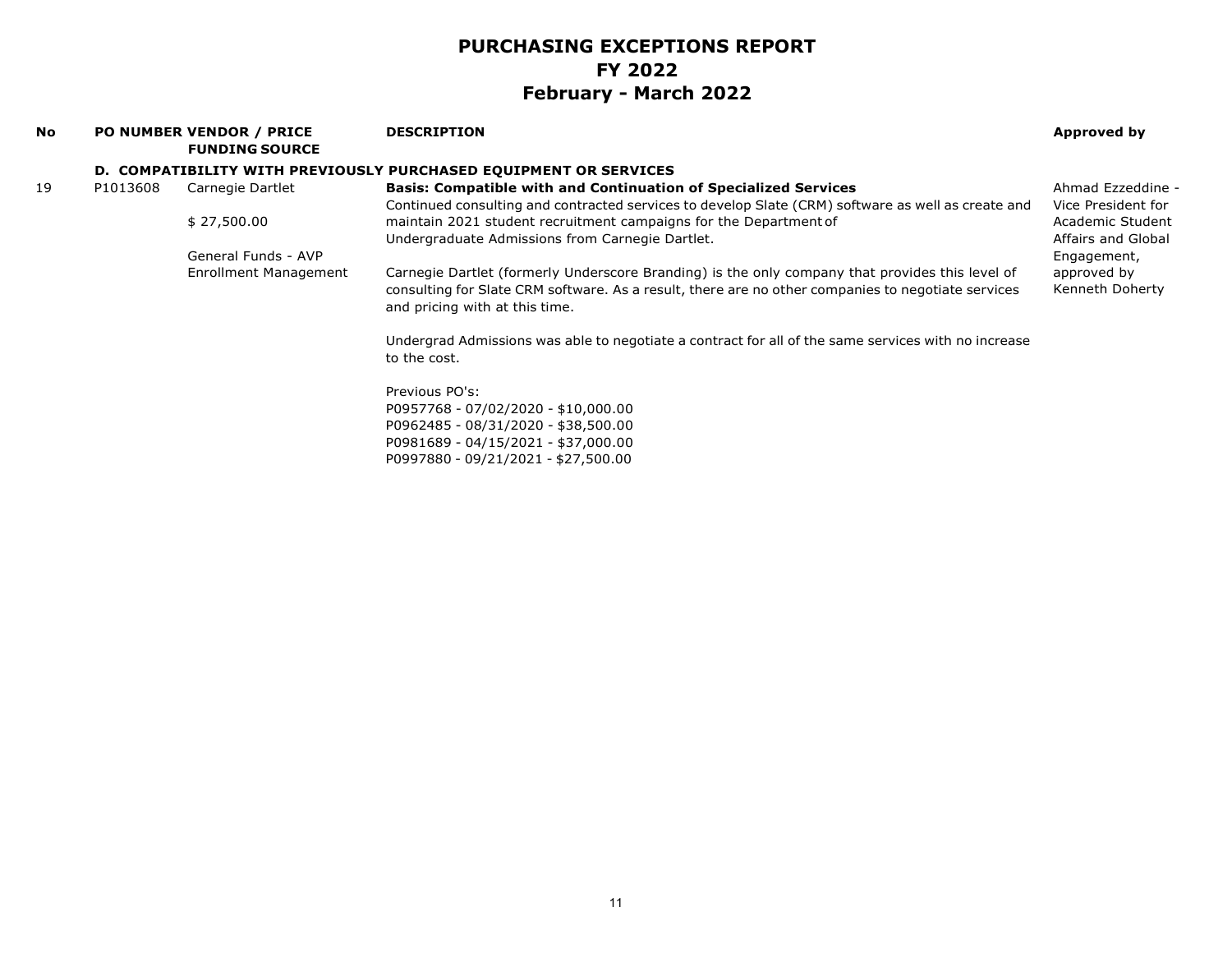| <b>No</b> |          | <b>PO NUMBER VENDOR / PRICE</b><br><b>FUNDING SOURCE</b> | <b>DESCRIPTION</b>                                                                                                                                                                                                                      | Approved by                             |
|-----------|----------|----------------------------------------------------------|-----------------------------------------------------------------------------------------------------------------------------------------------------------------------------------------------------------------------------------------|-----------------------------------------|
|           |          |                                                          | D. COMPATIBILITY WITH PREVIOUSLY PURCHASED EQUIPMENT OR SERVICES                                                                                                                                                                        |                                         |
| 19        | P1013608 | Carnegie Dartlet                                         | <b>Basis: Compatible with and Continuation of Specialized Services</b><br>Continued consulting and contracted services to develop Slate (CRM) software as well as create and                                                            | Ahmad Ezzeddine -<br>Vice President for |
|           |          | \$27,500.00                                              | maintain 2021 student recruitment campaigns for the Department of<br>Undergraduate Admissions from Carnegie Dartlet.                                                                                                                    | Academic Student<br>Affairs and Global  |
|           |          | General Funds - AVP                                      |                                                                                                                                                                                                                                         | Engagement,                             |
|           |          | Enrollment Management                                    | Carnegie Dartlet (formerly Underscore Branding) is the only company that provides this level of<br>consulting for Slate CRM software. As a result, there are no other companies to negotiate services<br>and pricing with at this time. | approved by<br>Kenneth Doherty          |
|           |          |                                                          | Undergrad Admissions was able to negotiate a contract for all of the same services with no increase<br>to the cost.                                                                                                                     |                                         |
|           |          |                                                          | Previous PO's:                                                                                                                                                                                                                          |                                         |
|           |          |                                                          | P0957768 - 07/02/2020 - \$10,000.00                                                                                                                                                                                                     |                                         |
|           |          |                                                          | P0962485 - 08/31/2020 - \$38,500.00                                                                                                                                                                                                     |                                         |
|           |          |                                                          | P0981689 - 04/15/2021 - \$37,000.00                                                                                                                                                                                                     |                                         |

P0997880 - 09/21/2021 - \$27,500.00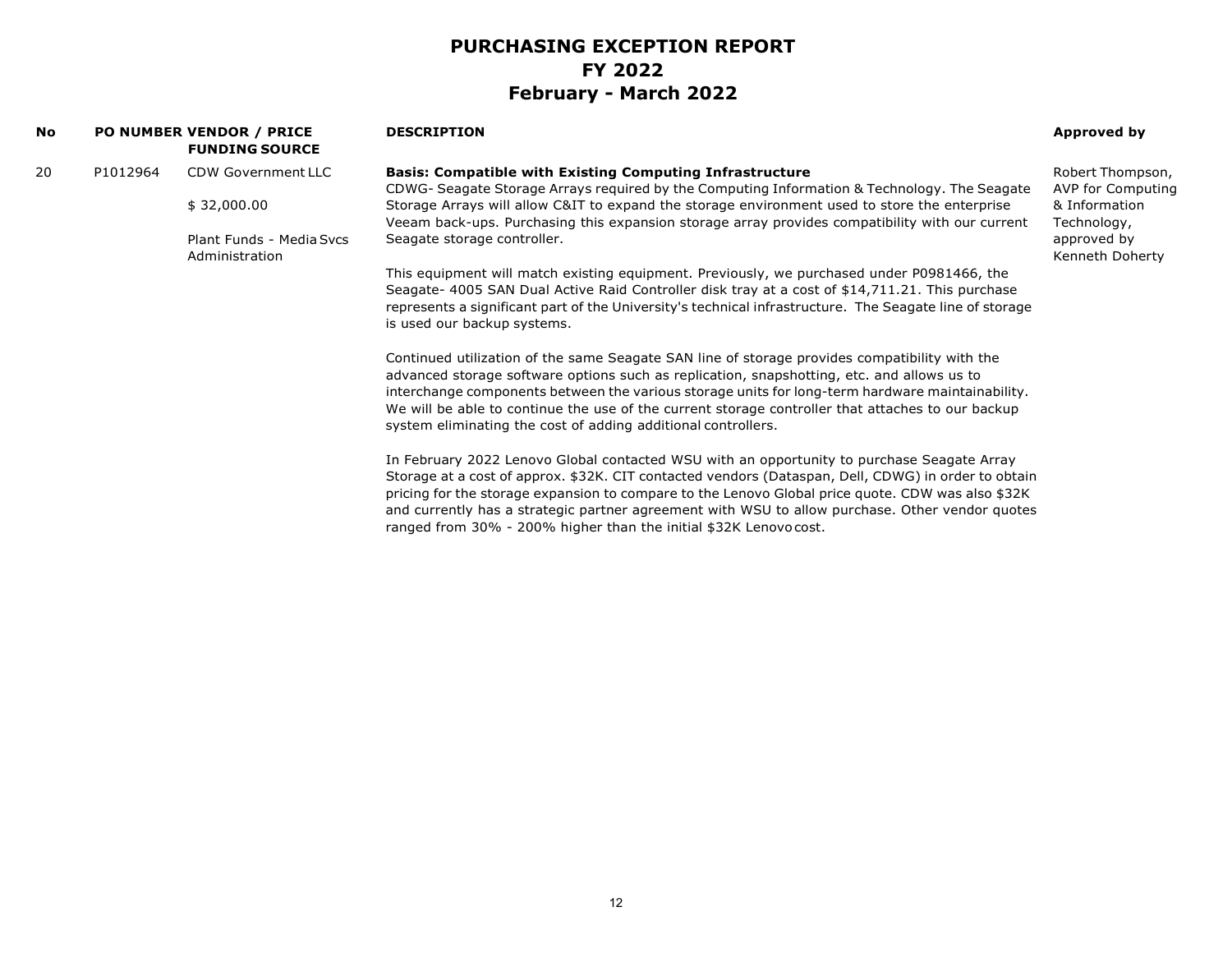| <b>No</b> |          | PO NUMBER VENDOR / PRICE<br><b>FUNDING SOURCE</b> | <b>DESCRIPTION</b>                                                                                                                                                                                                                                                                                                                                                                                                                                                            | Approved by                           |
|-----------|----------|---------------------------------------------------|-------------------------------------------------------------------------------------------------------------------------------------------------------------------------------------------------------------------------------------------------------------------------------------------------------------------------------------------------------------------------------------------------------------------------------------------------------------------------------|---------------------------------------|
| 20        | P1012964 | <b>CDW Government LLC</b>                         | <b>Basis: Compatible with Existing Computing Infrastructure</b><br>CDWG- Seagate Storage Arrays required by the Computing Information & Technology. The Seagate                                                                                                                                                                                                                                                                                                               | Robert Thompson,<br>AVP for Computing |
|           |          | \$32,000.00                                       | Storage Arrays will allow C&IT to expand the storage environment used to store the enterprise<br>Veeam back-ups. Purchasing this expansion storage array provides compatibility with our current                                                                                                                                                                                                                                                                              | & Information<br>Technology,          |
|           |          | Plant Funds - Media Svcs<br>Administration        | Seagate storage controller.                                                                                                                                                                                                                                                                                                                                                                                                                                                   | approved by<br>Kenneth Doherty        |
|           |          |                                                   | This equipment will match existing equipment. Previously, we purchased under P0981466, the<br>Seagate- 4005 SAN Dual Active Raid Controller disk tray at a cost of \$14,711.21. This purchase<br>represents a significant part of the University's technical infrastructure. The Seagate line of storage<br>is used our backup systems.                                                                                                                                       |                                       |
|           |          |                                                   | Continued utilization of the same Seagate SAN line of storage provides compatibility with the<br>advanced storage software options such as replication, snapshotting, etc. and allows us to<br>interchange components between the various storage units for long-term hardware maintainability.<br>We will be able to continue the use of the current storage controller that attaches to our backup<br>system eliminating the cost of adding additional controllers.         |                                       |
|           |          |                                                   | In February 2022 Lenovo Global contacted WSU with an opportunity to purchase Seagate Array<br>Storage at a cost of approx. \$32K. CIT contacted vendors (Dataspan, Dell, CDWG) in order to obtain<br>pricing for the storage expansion to compare to the Lenovo Global price quote. CDW was also \$32K<br>and currently has a strategic partner agreement with WSU to allow purchase. Other vendor quotes<br>ranged from 30% - 200% higher than the initial \$32K Lenovocost. |                                       |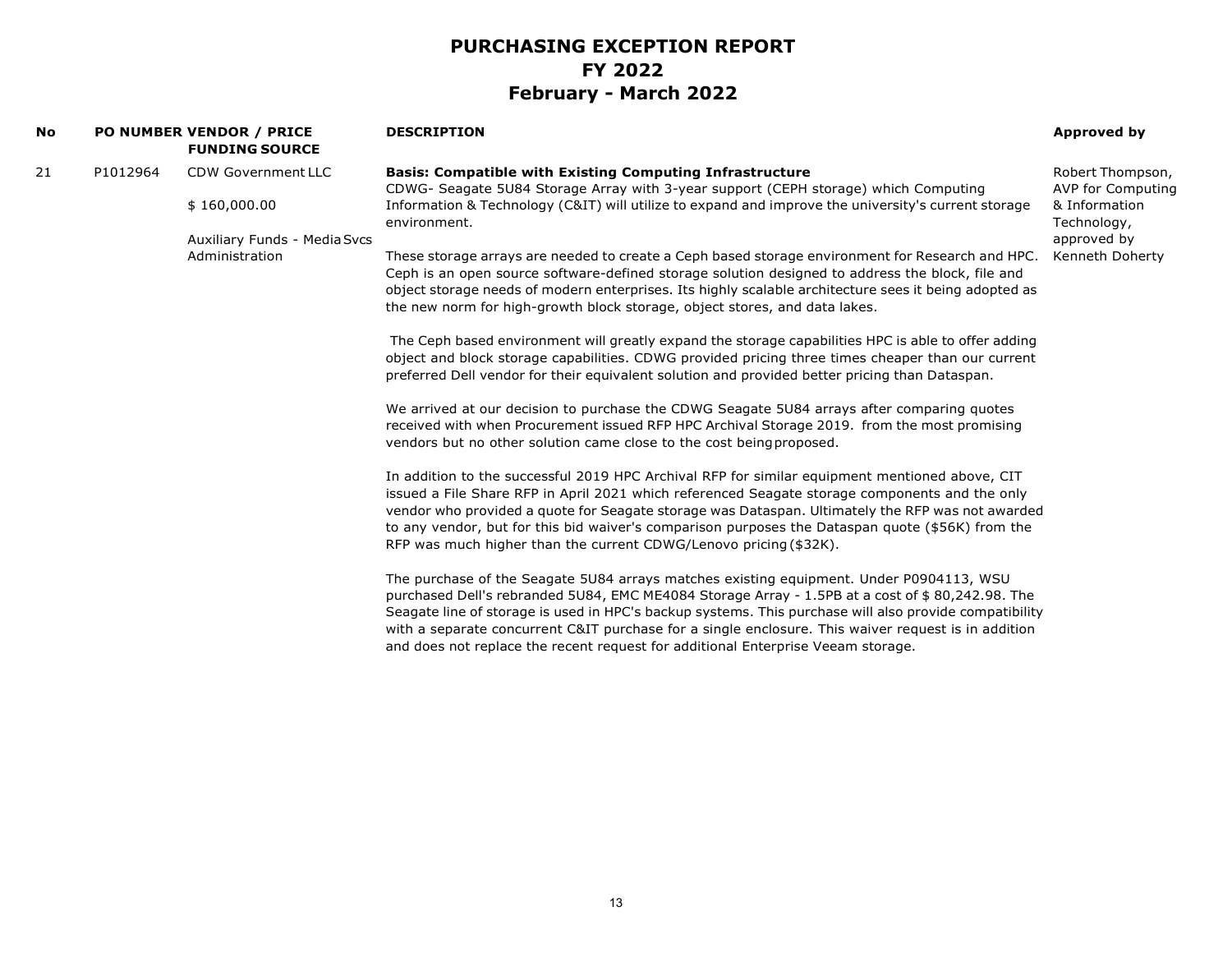| No. |          | PO NUMBER VENDOR / PRICE<br><b>FUNDING SOURCE</b>                                                                                         | <b>DESCRIPTION</b>                                                                                                                                                                                                                                                                                                                                                                                                                                                                              | Approved by                           |
|-----|----------|-------------------------------------------------------------------------------------------------------------------------------------------|-------------------------------------------------------------------------------------------------------------------------------------------------------------------------------------------------------------------------------------------------------------------------------------------------------------------------------------------------------------------------------------------------------------------------------------------------------------------------------------------------|---------------------------------------|
| 21  | P1012964 | <b>CDW Government LLC</b>                                                                                                                 | <b>Basis: Compatible with Existing Computing Infrastructure</b><br>CDWG- Seagate 5U84 Storage Array with 3-year support (CEPH storage) which Computing                                                                                                                                                                                                                                                                                                                                          | Robert Thompson,<br>AVP for Computing |
|     |          | \$160,000.00                                                                                                                              | Information & Technology (C&IT) will utilize to expand and improve the university's current storage<br>environment.                                                                                                                                                                                                                                                                                                                                                                             | & Information<br>Technology,          |
|     |          | Auxiliary Funds - Media Svcs<br>Administration                                                                                            | These storage arrays are needed to create a Ceph based storage environment for Research and HPC.<br>Ceph is an open source software-defined storage solution designed to address the block, file and<br>object storage needs of modern enterprises. Its highly scalable architecture sees it being adopted as<br>the new norm for high-growth block storage, object stores, and data lakes.                                                                                                     | approved by<br>Kenneth Doherty        |
|     |          |                                                                                                                                           | The Ceph based environment will greatly expand the storage capabilities HPC is able to offer adding<br>object and block storage capabilities. CDWG provided pricing three times cheaper than our current<br>preferred Dell vendor for their equivalent solution and provided better pricing than Dataspan.                                                                                                                                                                                      |                                       |
|     |          | vendors but no other solution came close to the cost being proposed.<br>RFP was much higher than the current CDWG/Lenovo pricing (\$32K). | We arrived at our decision to purchase the CDWG Seagate 5U84 arrays after comparing quotes<br>received with when Procurement issued RFP HPC Archival Storage 2019. from the most promising                                                                                                                                                                                                                                                                                                      |                                       |
|     |          |                                                                                                                                           | In addition to the successful 2019 HPC Archival RFP for similar equipment mentioned above, CIT<br>issued a File Share RFP in April 2021 which referenced Seagate storage components and the only<br>vendor who provided a quote for Seagate storage was Dataspan. Ultimately the RFP was not awarded<br>to any vendor, but for this bid waiver's comparison purposes the Dataspan quote (\$56K) from the                                                                                        |                                       |
|     |          |                                                                                                                                           | The purchase of the Seagate 5U84 arrays matches existing equipment. Under P0904113, WSU<br>purchased Dell's rebranded 5U84, EMC ME4084 Storage Array - 1.5PB at a cost of \$80,242.98. The<br>Seagate line of storage is used in HPC's backup systems. This purchase will also provide compatibility<br>with a separate concurrent C&IT purchase for a single enclosure. This waiver request is in addition<br>and does not replace the recent request for additional Enterprise Veeam storage. |                                       |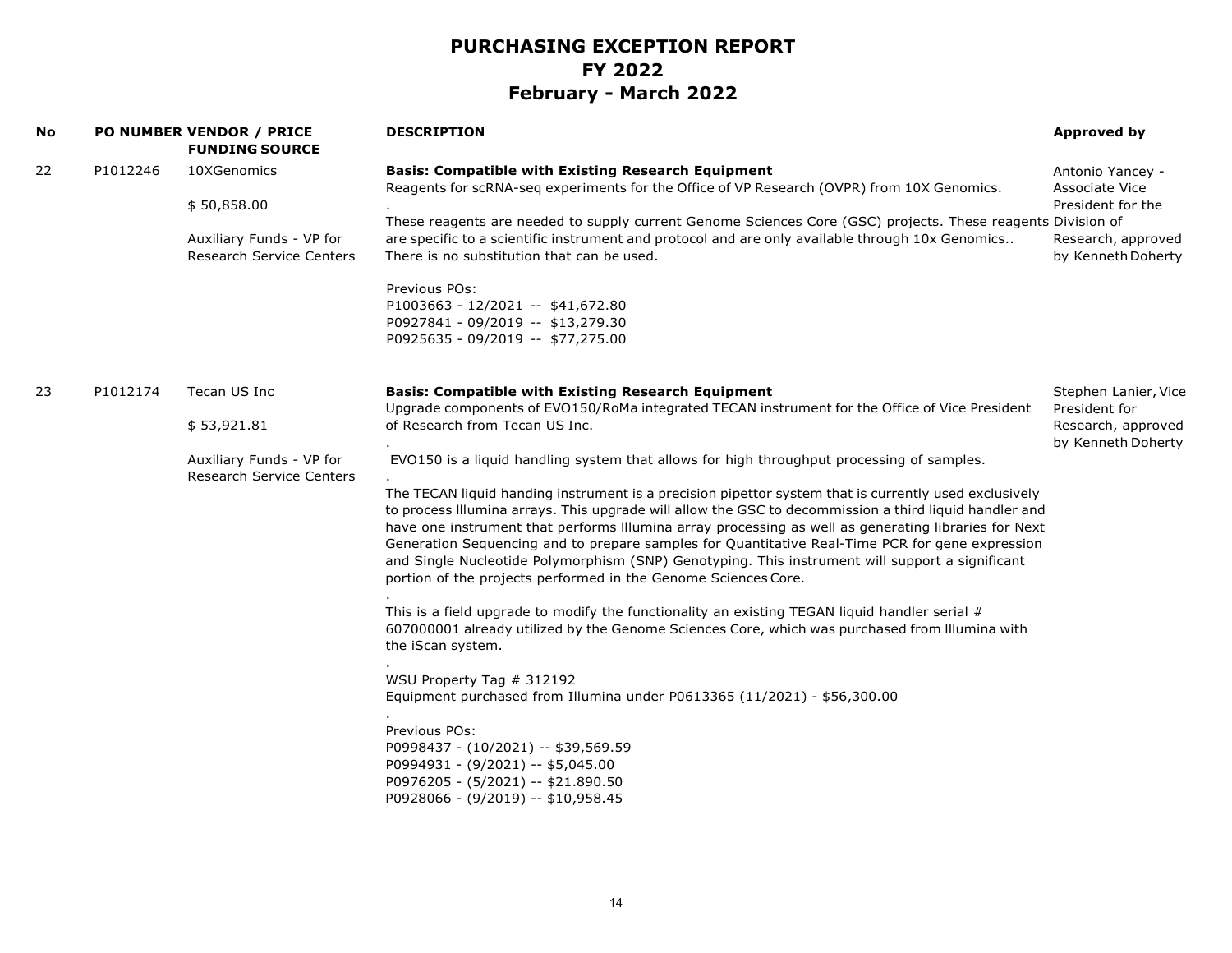| No |          | PO NUMBER VENDOR / PRICE<br><b>FUNDING SOURCE</b>                                          | <b>DESCRIPTION</b>                                                                                                                                                                                                                                                                                                                                                                                                                                                                                                                                                                                                                                                                                                                                                                                                                                                                                                                                                                                                                                                                                                                                                                                                                                                                                                                                                                                      | Approved by                                                                                         |
|----|----------|--------------------------------------------------------------------------------------------|---------------------------------------------------------------------------------------------------------------------------------------------------------------------------------------------------------------------------------------------------------------------------------------------------------------------------------------------------------------------------------------------------------------------------------------------------------------------------------------------------------------------------------------------------------------------------------------------------------------------------------------------------------------------------------------------------------------------------------------------------------------------------------------------------------------------------------------------------------------------------------------------------------------------------------------------------------------------------------------------------------------------------------------------------------------------------------------------------------------------------------------------------------------------------------------------------------------------------------------------------------------------------------------------------------------------------------------------------------------------------------------------------------|-----------------------------------------------------------------------------------------------------|
| 22 | P1012246 | 10XGenomics<br>\$50,858.00<br>Auxiliary Funds - VP for<br><b>Research Service Centers</b>  | <b>Basis: Compatible with Existing Research Equipment</b><br>Reagents for scRNA-seq experiments for the Office of VP Research (OVPR) from 10X Genomics.<br>These reagents are needed to supply current Genome Sciences Core (GSC) projects. These reagents Division of<br>are specific to a scientific instrument and protocol and are only available through 10x Genomics<br>There is no substitution that can be used.<br>Previous POs:<br>P1003663 - 12/2021 -- \$41,672.80<br>P0927841 - 09/2019 -- \$13,279.30<br>P0925635 - 09/2019 -- \$77,275.00                                                                                                                                                                                                                                                                                                                                                                                                                                                                                                                                                                                                                                                                                                                                                                                                                                                | Antonio Yancey -<br>Associate Vice<br>President for the<br>Research, approved<br>by Kenneth Doherty |
| 23 | P1012174 | Tecan US Inc<br>\$53,921.81<br>Auxiliary Funds - VP for<br><b>Research Service Centers</b> | <b>Basis: Compatible with Existing Research Equipment</b><br>Upgrade components of EVO150/RoMa integrated TECAN instrument for the Office of Vice President<br>of Research from Tecan US Inc.<br>EVO150 is a liquid handling system that allows for high throughput processing of samples.<br>The TECAN liquid handing instrument is a precision pipettor system that is currently used exclusively<br>to process Illumina arrays. This upgrade will allow the GSC to decommission a third liquid handler and<br>have one instrument that performs Illumina array processing as well as generating libraries for Next<br>Generation Sequencing and to prepare samples for Quantitative Real-Time PCR for gene expression<br>and Single Nucleotide Polymorphism (SNP) Genotyping. This instrument will support a significant<br>portion of the projects performed in the Genome Sciences Core.<br>This is a field upgrade to modify the functionality an existing TEGAN liquid handler serial #<br>607000001 already utilized by the Genome Sciences Core, which was purchased from Illumina with<br>the iScan system.<br>WSU Property Tag # 312192<br>Equipment purchased from Illumina under P0613365 (11/2021) - \$56,300.00<br>Previous POs:<br>P0998437 - (10/2021) -- \$39,569.59<br>P0994931 - (9/2021) -- \$5,045.00<br>P0976205 - (5/2021) -- \$21.890.50<br>P0928066 - (9/2019) -- \$10,958.45 | Stephen Lanier, Vice<br>President for<br>Research, approved<br>by Kenneth Doherty                   |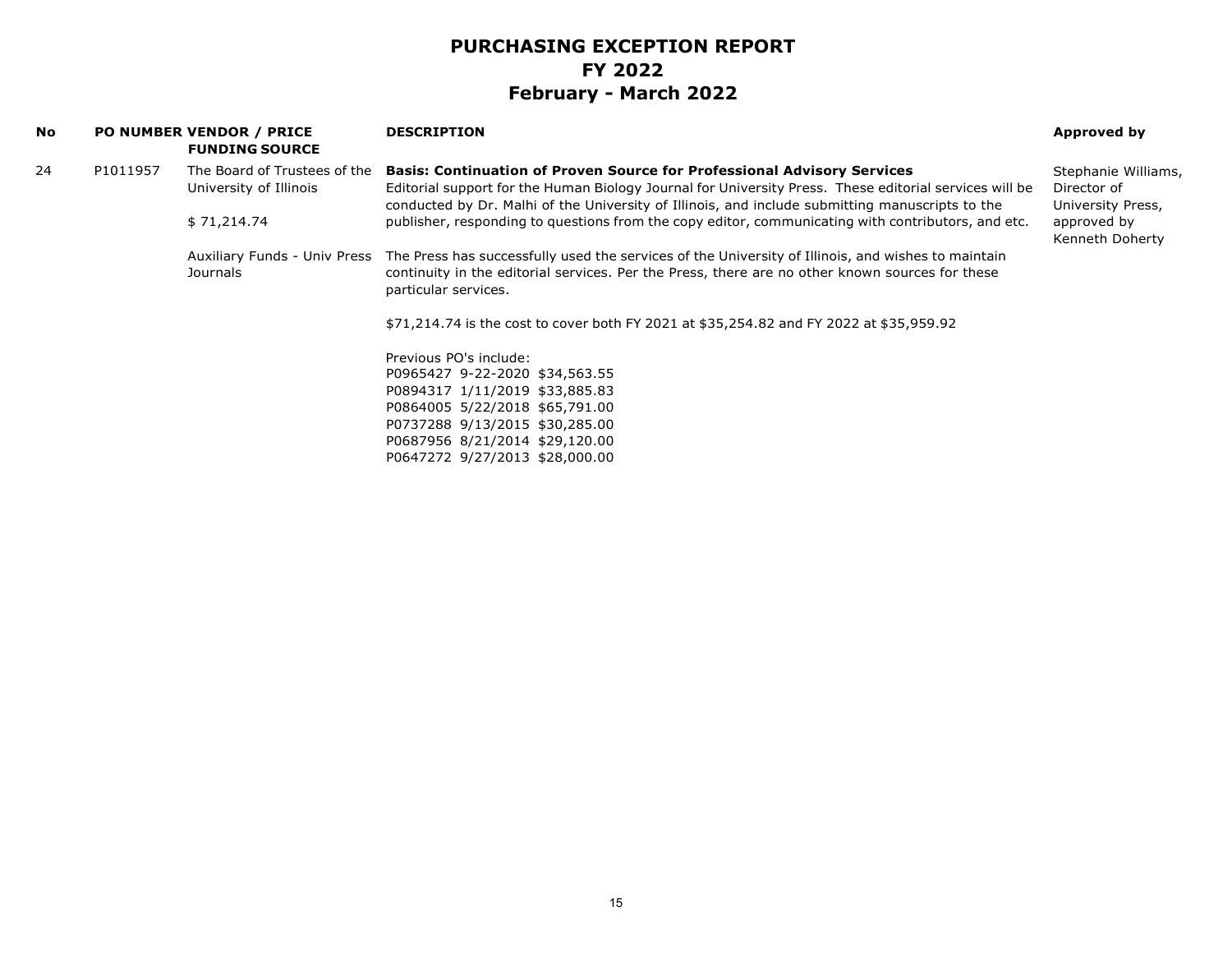| No |          | <b>PO NUMBER VENDOR / PRICE</b><br><b>FUNDING SOURCE</b> | <b>DESCRIPTION</b>                                                                                                                                                                                                            | Approved by                      |
|----|----------|----------------------------------------------------------|-------------------------------------------------------------------------------------------------------------------------------------------------------------------------------------------------------------------------------|----------------------------------|
| 24 | P1011957 | The Board of Trustees of the                             | <b>Basis: Continuation of Proven Source for Professional Advisory Services</b>                                                                                                                                                | Stephanie Williams,              |
|    |          | University of Illinois                                   | Editorial support for the Human Biology Journal for University Press. These editorial services will be<br>conducted by Dr. Malhi of the University of Illinois, and include submitting manuscripts to the                     | Director of<br>University Press, |
|    |          | \$71,214.74                                              | publisher, responding to questions from the copy editor, communicating with contributors, and etc.                                                                                                                            | approved by<br>Kenneth Doherty   |
|    |          | Auxiliary Funds - Univ Press<br>Journals                 | The Press has successfully used the services of the University of Illinois, and wishes to maintain<br>continuity in the editorial services. Per the Press, there are no other known sources for these<br>particular services. |                                  |
|    |          |                                                          | \$71,214.74 is the cost to cover both FY 2021 at \$35,254.82 and FY 2022 at \$35,959.92                                                                                                                                       |                                  |
|    |          |                                                          | Previous PO's include:                                                                                                                                                                                                        |                                  |
|    |          |                                                          | P0965427 9-22-2020 \$34,563.55                                                                                                                                                                                                |                                  |
|    |          |                                                          | P0894317 1/11/2019 \$33,885.83                                                                                                                                                                                                |                                  |
|    |          |                                                          | P0864005 5/22/2018 \$65,791.00                                                                                                                                                                                                |                                  |
|    |          |                                                          | P0737288 9/13/2015 \$30,285.00                                                                                                                                                                                                |                                  |
|    |          |                                                          | P0687956 8/21/2014 \$29,120.00                                                                                                                                                                                                |                                  |
|    |          |                                                          | P0647272 9/27/2013 \$28,000.00                                                                                                                                                                                                |                                  |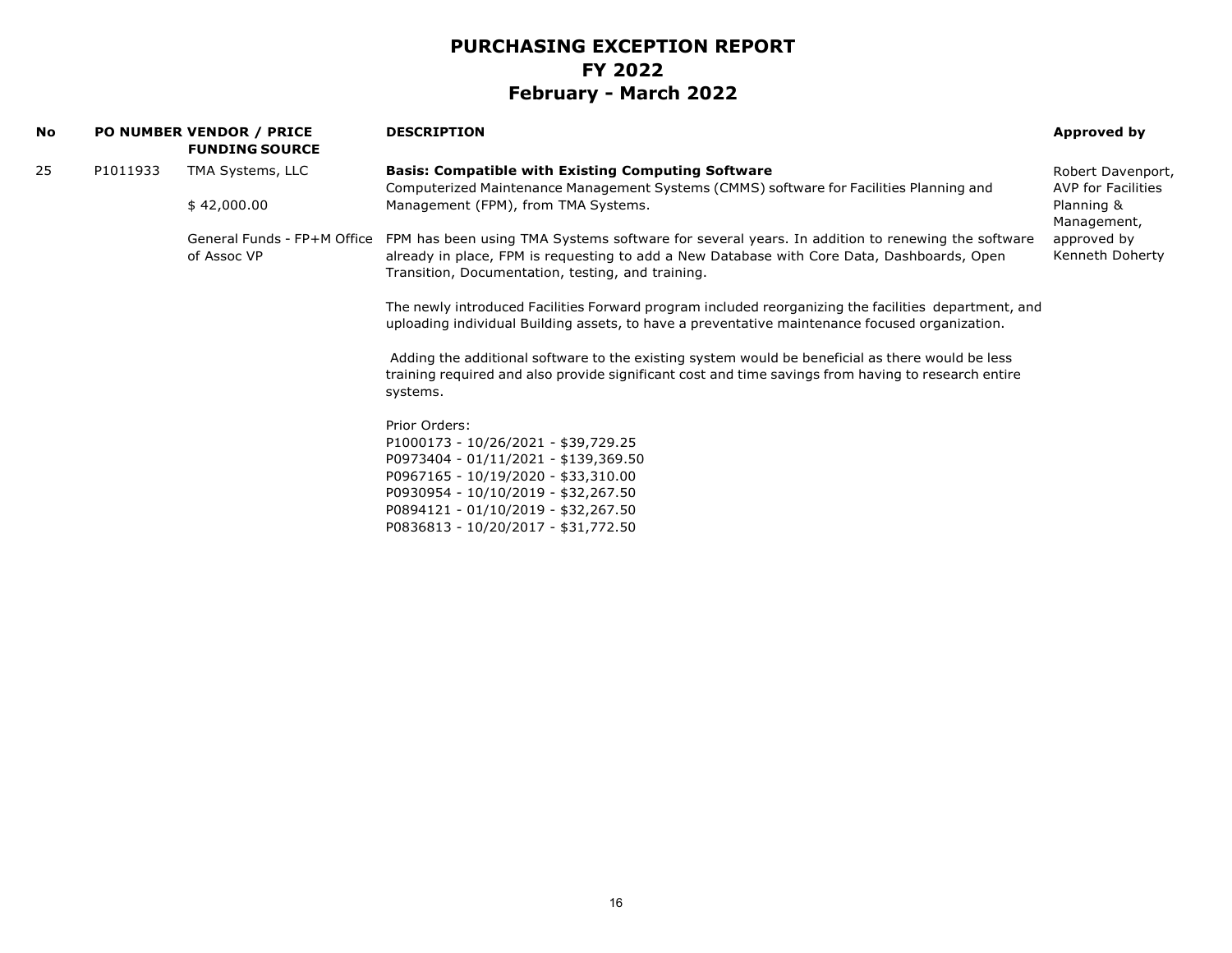| No |          | PO NUMBER VENDOR / PRICE<br><b>FUNDING SOURCE</b> | <b>DESCRIPTION</b>                                                                                                                                                                                                                                 | Approved by                                            |
|----|----------|---------------------------------------------------|----------------------------------------------------------------------------------------------------------------------------------------------------------------------------------------------------------------------------------------------------|--------------------------------------------------------|
| 25 | P1011933 | TMA Systems, LLC                                  | <b>Basis: Compatible with Existing Computing Software</b>                                                                                                                                                                                          | Robert Davenport,                                      |
|    |          | \$42,000.00                                       | Computerized Maintenance Management Systems (CMMS) software for Facilities Planning and<br>Management (FPM), from TMA Systems.                                                                                                                     | <b>AVP for Facilities</b><br>Planning &<br>Management, |
|    |          | General Funds - FP+M Office<br>of Assoc VP        | FPM has been using TMA Systems software for several years. In addition to renewing the software<br>already in place, FPM is requesting to add a New Database with Core Data, Dashboards, Open<br>Transition, Documentation, testing, and training. | approved by<br>Kenneth Doherty                         |
|    |          |                                                   | The newly introduced Facilities Forward program included reorganizing the facilities department, and<br>uploading individual Building assets, to have a preventative maintenance focused organization.                                             |                                                        |
|    |          | systems.                                          | Adding the additional software to the existing system would be beneficial as there would be less<br>training required and also provide significant cost and time savings from having to research entire                                            |                                                        |
|    |          |                                                   | Prior Orders:                                                                                                                                                                                                                                      |                                                        |
|    |          |                                                   | P1000173 - 10/26/2021 - \$39,729.25                                                                                                                                                                                                                |                                                        |
|    |          |                                                   | P0973404 - 01/11/2021 - \$139,369.50                                                                                                                                                                                                               |                                                        |
|    |          |                                                   | P0967165 - 10/19/2020 - \$33,310.00                                                                                                                                                                                                                |                                                        |
|    |          |                                                   | P0930954 - 10/10/2019 - \$32,267.50                                                                                                                                                                                                                |                                                        |
|    |          |                                                   | P0894121 - 01/10/2019 - \$32,267.50                                                                                                                                                                                                                |                                                        |
|    |          |                                                   | P0836813 - 10/20/2017 - \$31,772.50                                                                                                                                                                                                                |                                                        |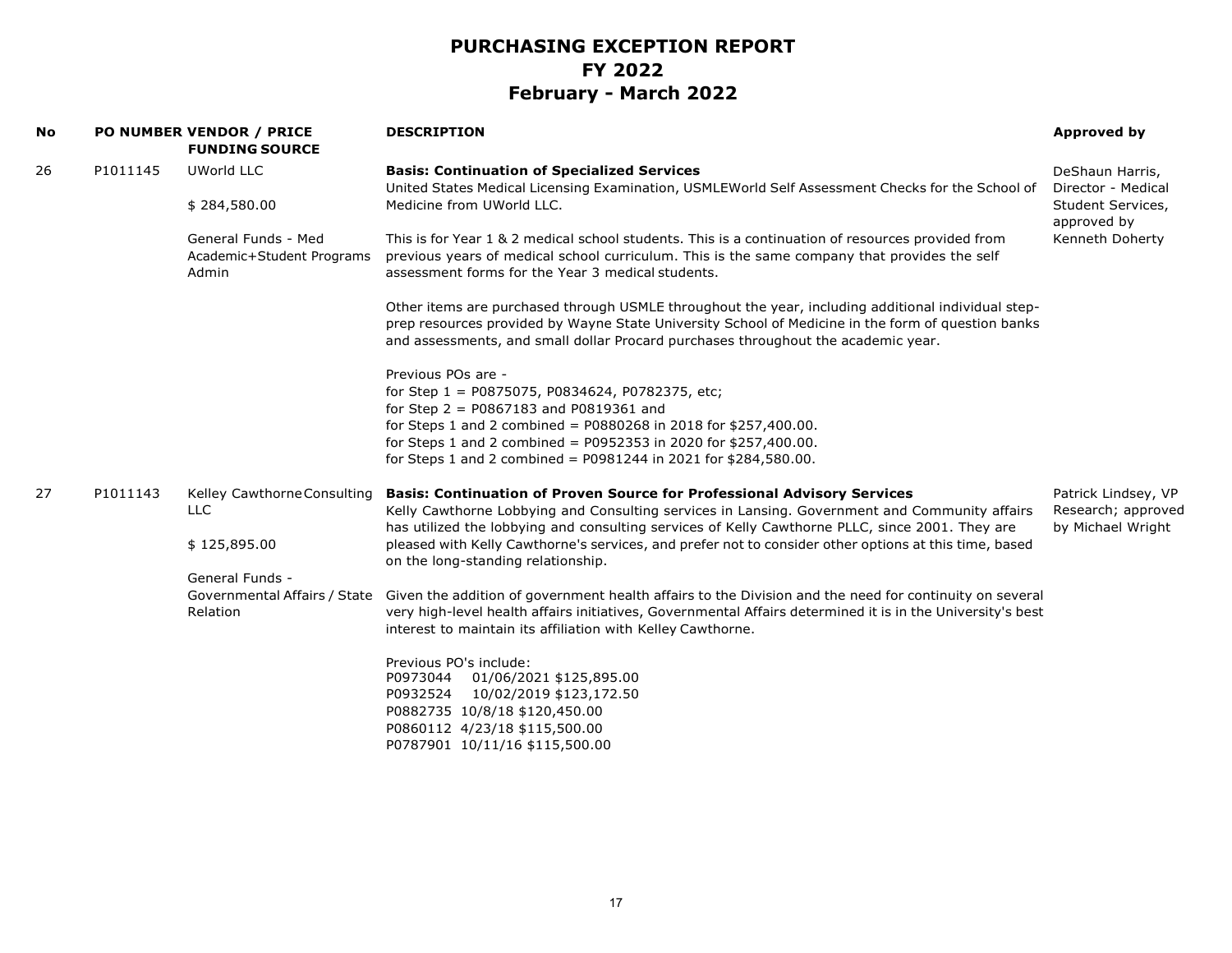| No |          | PO NUMBER VENDOR / PRICE<br><b>FUNDING SOURCE</b>         | <b>DESCRIPTION</b>                                                                                                                                                                                                                                                                                                                  | <b>Approved by</b>                                             |
|----|----------|-----------------------------------------------------------|-------------------------------------------------------------------------------------------------------------------------------------------------------------------------------------------------------------------------------------------------------------------------------------------------------------------------------------|----------------------------------------------------------------|
| 26 | P1011145 | <b>UWorld LLC</b>                                         | <b>Basis: Continuation of Specialized Services</b>                                                                                                                                                                                                                                                                                  | DeShaun Harris,                                                |
|    |          | \$284,580.00                                              | United States Medical Licensing Examination, USMLEWorld Self Assessment Checks for the School of<br>Medicine from UWorld LLC.                                                                                                                                                                                                       | Director - Medical<br>Student Services,<br>approved by         |
|    |          | General Funds - Med<br>Academic+Student Programs<br>Admin | This is for Year 1 & 2 medical school students. This is a continuation of resources provided from<br>previous years of medical school curriculum. This is the same company that provides the self<br>assessment forms for the Year 3 medical students.                                                                              | Kenneth Doherty                                                |
|    |          |                                                           | Other items are purchased through USMLE throughout the year, including additional individual step-<br>prep resources provided by Wayne State University School of Medicine in the form of question banks<br>and assessments, and small dollar Procard purchases throughout the academic year.                                       |                                                                |
|    |          |                                                           | Previous POs are -<br>for Step $1 = P0875075$ , P0834624, P0782375, etc;<br>for Step $2 = P0867183$ and P0819361 and<br>for Steps 1 and 2 combined = $P0880268$ in 2018 for \$257,400.00.<br>for Steps 1 and 2 combined = $P0952353$ in 2020 for \$257,400.00.<br>for Steps 1 and 2 combined = $P0981244$ in 2021 for \$284,580.00. |                                                                |
| 27 | P1011143 | Kelley Cawthorne Consulting<br><b>LLC</b>                 | <b>Basis: Continuation of Proven Source for Professional Advisory Services</b><br>Kelly Cawthorne Lobbying and Consulting services in Lansing. Government and Community affairs<br>has utilized the lobbying and consulting services of Kelly Cawthorne PLLC, since 2001. They are                                                  | Patrick Lindsey, VP<br>Research; approved<br>by Michael Wright |
|    |          | \$125,895.00                                              | pleased with Kelly Cawthorne's services, and prefer not to consider other options at this time, based<br>on the long-standing relationship.                                                                                                                                                                                         |                                                                |
|    |          | General Funds -                                           |                                                                                                                                                                                                                                                                                                                                     |                                                                |
|    |          | Governmental Affairs / State<br>Relation                  | Given the addition of government health affairs to the Division and the need for continuity on several<br>very high-level health affairs initiatives, Governmental Affairs determined it is in the University's best<br>interest to maintain its affiliation with Kelley Cawthorne.                                                 |                                                                |
|    |          |                                                           | Previous PO's include:<br>P0973044 01/06/2021 \$125,895.00<br>P0932524 10/02/2019 \$123,172.50<br>P0882735 10/8/18 \$120,450.00<br>P0860112 4/23/18 \$115,500.00<br>P0787901 10/11/16 \$115,500.00                                                                                                                                  |                                                                |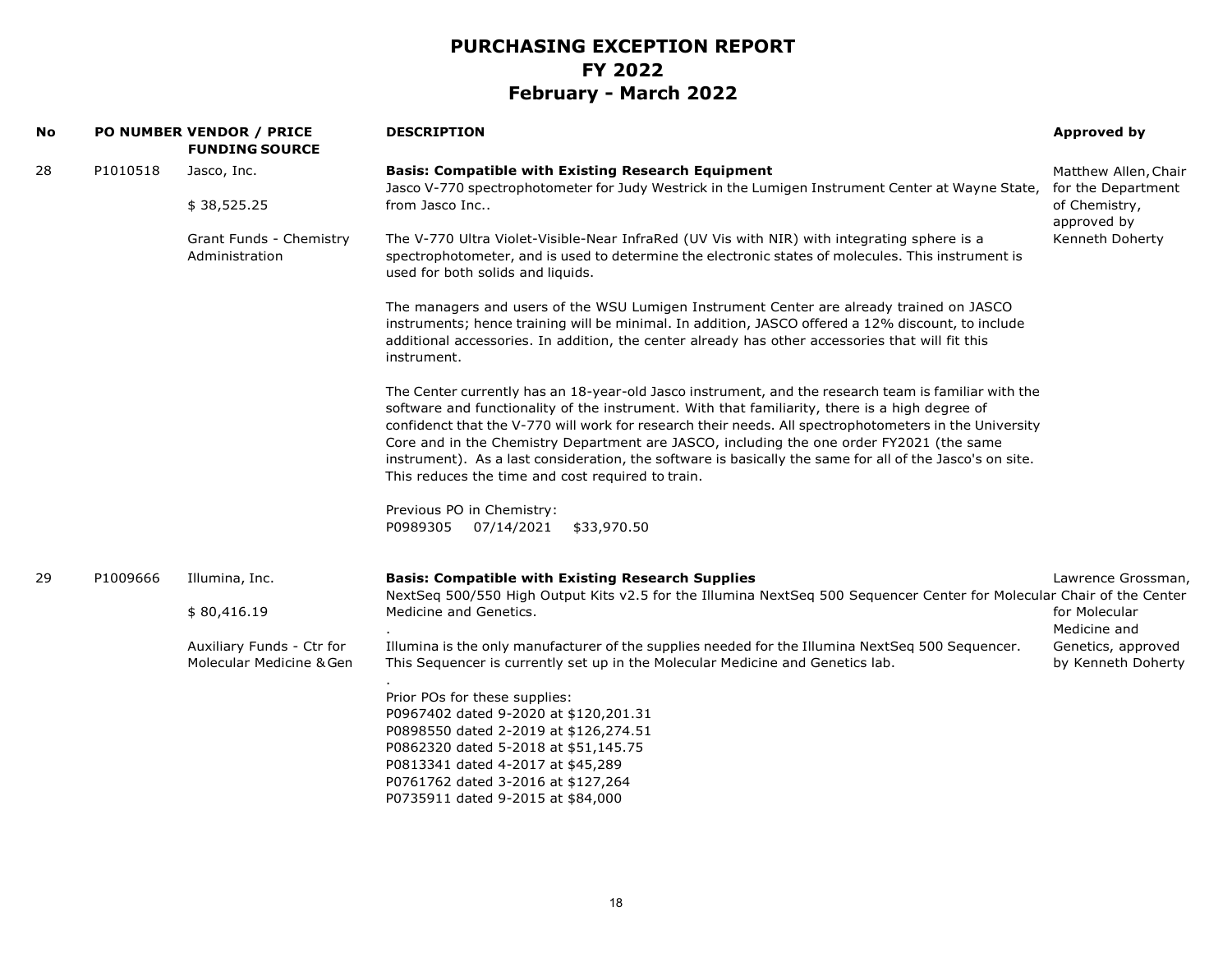| No |          | PO NUMBER VENDOR / PRICE<br><b>FUNDING SOURCE</b>     | <b>DESCRIPTION</b>                                                                                                                                                                                                                                                                                                                                                                                                                                                                                                                                                            | <b>Approved by</b>                         |
|----|----------|-------------------------------------------------------|-------------------------------------------------------------------------------------------------------------------------------------------------------------------------------------------------------------------------------------------------------------------------------------------------------------------------------------------------------------------------------------------------------------------------------------------------------------------------------------------------------------------------------------------------------------------------------|--------------------------------------------|
| 28 | P1010518 | Jasco, Inc.                                           | <b>Basis: Compatible with Existing Research Equipment</b><br>Jasco V-770 spectrophotometer for Judy Westrick in the Lumigen Instrument Center at Wayne State,                                                                                                                                                                                                                                                                                                                                                                                                                 | Matthew Allen, Chair<br>for the Department |
|    |          | \$38,525.25                                           | from Jasco Inc                                                                                                                                                                                                                                                                                                                                                                                                                                                                                                                                                                | of Chemistry,<br>approved by               |
|    |          | Grant Funds - Chemistry<br>Administration             | The V-770 Ultra Violet-Visible-Near InfraRed (UV Vis with NIR) with integrating sphere is a<br>spectrophotometer, and is used to determine the electronic states of molecules. This instrument is<br>used for both solids and liquids.                                                                                                                                                                                                                                                                                                                                        | Kenneth Doherty                            |
|    |          |                                                       | The managers and users of the WSU Lumigen Instrument Center are already trained on JASCO<br>instruments; hence training will be minimal. In addition, JASCO offered a 12% discount, to include<br>additional accessories. In addition, the center already has other accessories that will fit this<br>instrument.                                                                                                                                                                                                                                                             |                                            |
|    |          |                                                       | The Center currently has an 18-year-old Jasco instrument, and the research team is familiar with the<br>software and functionality of the instrument. With that familiarity, there is a high degree of<br>confidenct that the V-770 will work for research their needs. All spectrophotometers in the University<br>Core and in the Chemistry Department are JASCO, including the one order FY2021 (the same<br>instrument). As a last consideration, the software is basically the same for all of the Jasco's on site.<br>This reduces the time and cost required to train. |                                            |
|    |          |                                                       | Previous PO in Chemistry:<br>P0989305 07/14/2021<br>\$33,970.50                                                                                                                                                                                                                                                                                                                                                                                                                                                                                                               |                                            |
| 29 | P1009666 | Illumina, Inc.                                        | <b>Basis: Compatible with Existing Research Supplies</b><br>NextSeq 500/550 High Output Kits v2.5 for the Illumina NextSeq 500 Sequencer Center for Molecular Chair of the Center                                                                                                                                                                                                                                                                                                                                                                                             | Lawrence Grossman,                         |
|    |          | \$80,416.19                                           | Medicine and Genetics.                                                                                                                                                                                                                                                                                                                                                                                                                                                                                                                                                        | for Molecular<br>Medicine and              |
|    |          | Auxiliary Funds - Ctr for<br>Molecular Medicine & Gen | Illumina is the only manufacturer of the supplies needed for the Illumina NextSeq 500 Sequencer.<br>This Sequencer is currently set up in the Molecular Medicine and Genetics lab.                                                                                                                                                                                                                                                                                                                                                                                            | Genetics, approved<br>by Kenneth Doherty   |
|    |          |                                                       | Prior POs for these supplies:<br>P0967402 dated 9-2020 at \$120,201.31<br>P0898550 dated 2-2019 at \$126,274.51<br>P0862320 dated 5-2018 at \$51,145.75<br>P0813341 dated 4-2017 at \$45,289<br>P0761762 dated 3-2016 at \$127,264<br>P0735911 dated 9-2015 at \$84,000                                                                                                                                                                                                                                                                                                       |                                            |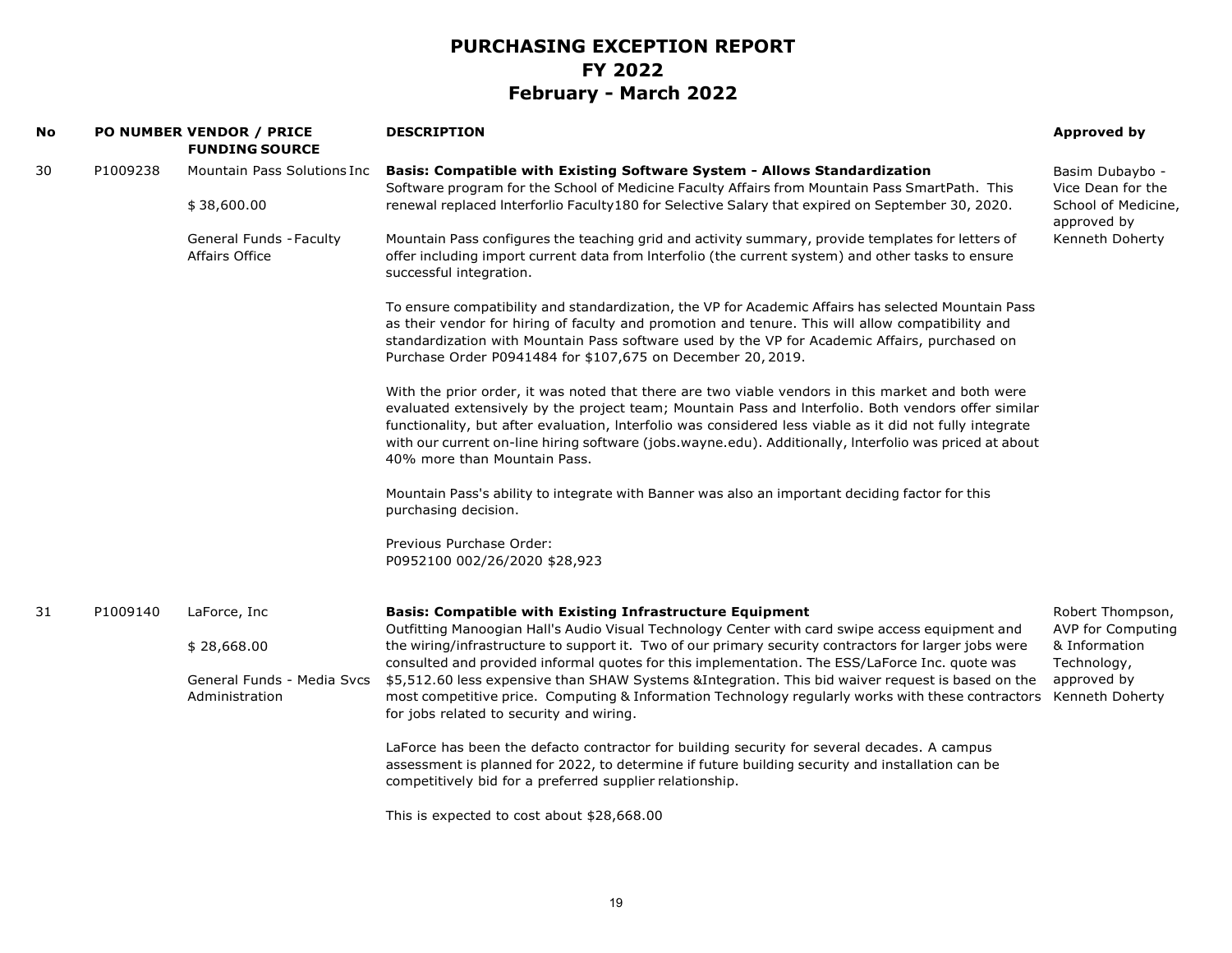| No |          | PO NUMBER VENDOR / PRICE<br><b>FUNDING SOURCE</b> | <b>DESCRIPTION</b>                                                                                                                                                                                                                                                                                                                                                                                                                                              | <b>Approved by</b>                                          |
|----|----------|---------------------------------------------------|-----------------------------------------------------------------------------------------------------------------------------------------------------------------------------------------------------------------------------------------------------------------------------------------------------------------------------------------------------------------------------------------------------------------------------------------------------------------|-------------------------------------------------------------|
| 30 | P1009238 | Mountain Pass Solutions Inc<br>\$38,600.00        | Basis: Compatible with Existing Software System - Allows Standardization<br>Software program for the School of Medicine Faculty Affairs from Mountain Pass SmartPath. This<br>renewal replaced Interforlio Faculty 180 for Selective Salary that expired on September 30, 2020.                                                                                                                                                                                 | Basim Dubaybo -<br>Vice Dean for the<br>School of Medicine, |
|    |          | <b>General Funds - Faculty</b><br>Affairs Office  | Mountain Pass configures the teaching grid and activity summary, provide templates for letters of<br>offer including import current data from Interfolio (the current system) and other tasks to ensure<br>successful integration.                                                                                                                                                                                                                              | approved by<br>Kenneth Doherty                              |
|    |          |                                                   | To ensure compatibility and standardization, the VP for Academic Affairs has selected Mountain Pass<br>as their vendor for hiring of faculty and promotion and tenure. This will allow compatibility and<br>standardization with Mountain Pass software used by the VP for Academic Affairs, purchased on<br>Purchase Order P0941484 for \$107,675 on December 20, 2019.                                                                                        |                                                             |
|    |          |                                                   | With the prior order, it was noted that there are two viable vendors in this market and both were<br>evaluated extensively by the project team; Mountain Pass and Interfolio. Both vendors offer similar<br>functionality, but after evaluation, Interfolio was considered less viable as it did not fully integrate<br>with our current on-line hiring software (jobs.wayne.edu). Additionally, Interfolio was priced at about<br>40% more than Mountain Pass. |                                                             |
|    |          |                                                   | Mountain Pass's ability to integrate with Banner was also an important deciding factor for this<br>purchasing decision.                                                                                                                                                                                                                                                                                                                                         |                                                             |
|    |          |                                                   | Previous Purchase Order:<br>P0952100 002/26/2020 \$28,923                                                                                                                                                                                                                                                                                                                                                                                                       |                                                             |
| 31 | P1009140 | LaForce, Inc                                      | <b>Basis: Compatible with Existing Infrastructure Equipment</b><br>Outfitting Manoogian Hall's Audio Visual Technology Center with card swipe access equipment and                                                                                                                                                                                                                                                                                              | Robert Thompson,<br>AVP for Computing                       |
|    |          | \$28,668.00                                       | the wiring/infrastructure to support it. Two of our primary security contractors for larger jobs were<br>consulted and provided informal quotes for this implementation. The ESS/LaForce Inc. quote was                                                                                                                                                                                                                                                         | & Information<br>Technology,                                |
|    |          | General Funds - Media Svcs<br>Administration      | \$5,512.60 less expensive than SHAW Systems & Integration. This bid waiver request is based on the<br>most competitive price. Computing & Information Technology regularly works with these contractors<br>for jobs related to security and wiring.                                                                                                                                                                                                             | approved by<br>Kenneth Doherty                              |
|    |          |                                                   | LaForce has been the defacto contractor for building security for several decades. A campus<br>assessment is planned for 2022, to determine if future building security and installation can be<br>competitively bid for a preferred supplier relationship.                                                                                                                                                                                                     |                                                             |

This is expected to cost about \$28,668.00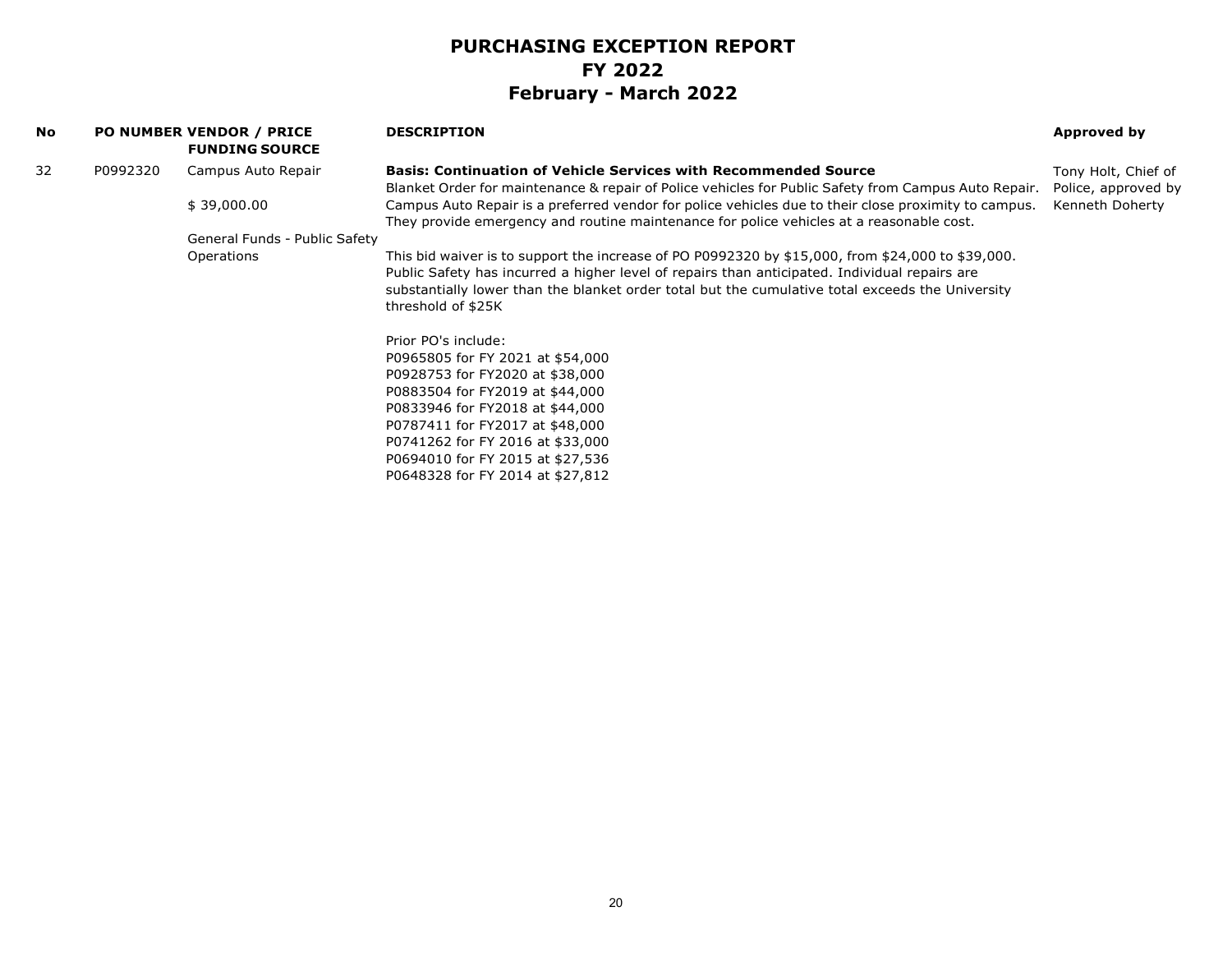| No |          | PO NUMBER VENDOR / PRICE<br><b>FUNDING SOURCE</b> | <b>DESCRIPTION</b>                                                                                   | Approved by         |
|----|----------|---------------------------------------------------|------------------------------------------------------------------------------------------------------|---------------------|
| 32 | P0992320 | Campus Auto Repair                                | <b>Basis: Continuation of Vehicle Services with Recommended Source</b>                               | Tony Holt, Chief of |
|    |          |                                                   | Blanket Order for maintenance & repair of Police vehicles for Public Safety from Campus Auto Repair. | Police, approved by |
|    |          | \$39,000.00                                       | Campus Auto Repair is a preferred vendor for police vehicles due to their close proximity to campus. | Kenneth Doherty     |
|    |          |                                                   | They provide emergency and routine maintenance for police vehicles at a reasonable cost.             |                     |
|    |          | General Funds - Public Safety                     |                                                                                                      |                     |
|    |          | Operations                                        | This bid waiver is to support the increase of PO P0992320 by \$15,000, from \$24,000 to \$39,000.    |                     |
|    |          |                                                   | Public Safety has incurred a higher level of repairs than anticipated. Individual repairs are        |                     |
|    |          |                                                   | substantially lower than the blanket order total but the cumulative total exceeds the University     |                     |
|    |          |                                                   | threshold of \$25K                                                                                   |                     |
|    |          |                                                   | Prior PO's include:                                                                                  |                     |
|    |          |                                                   | P0965805 for FY 2021 at \$54,000                                                                     |                     |
|    |          |                                                   | P0928753 for FY2020 at \$38,000                                                                      |                     |
|    |          |                                                   | P0883504 for FY2019 at \$44,000                                                                      |                     |
|    |          |                                                   | P0833946 for FY2018 at \$44,000                                                                      |                     |
|    |          |                                                   | P0787411 for FY2017 at \$48,000                                                                      |                     |
|    |          |                                                   | P0741262 for FY 2016 at \$33,000                                                                     |                     |
|    |          |                                                   | P0694010 for FY 2015 at \$27,536                                                                     |                     |
|    |          |                                                   | P0648328 for FY 2014 at \$27,812                                                                     |                     |
|    |          |                                                   |                                                                                                      |                     |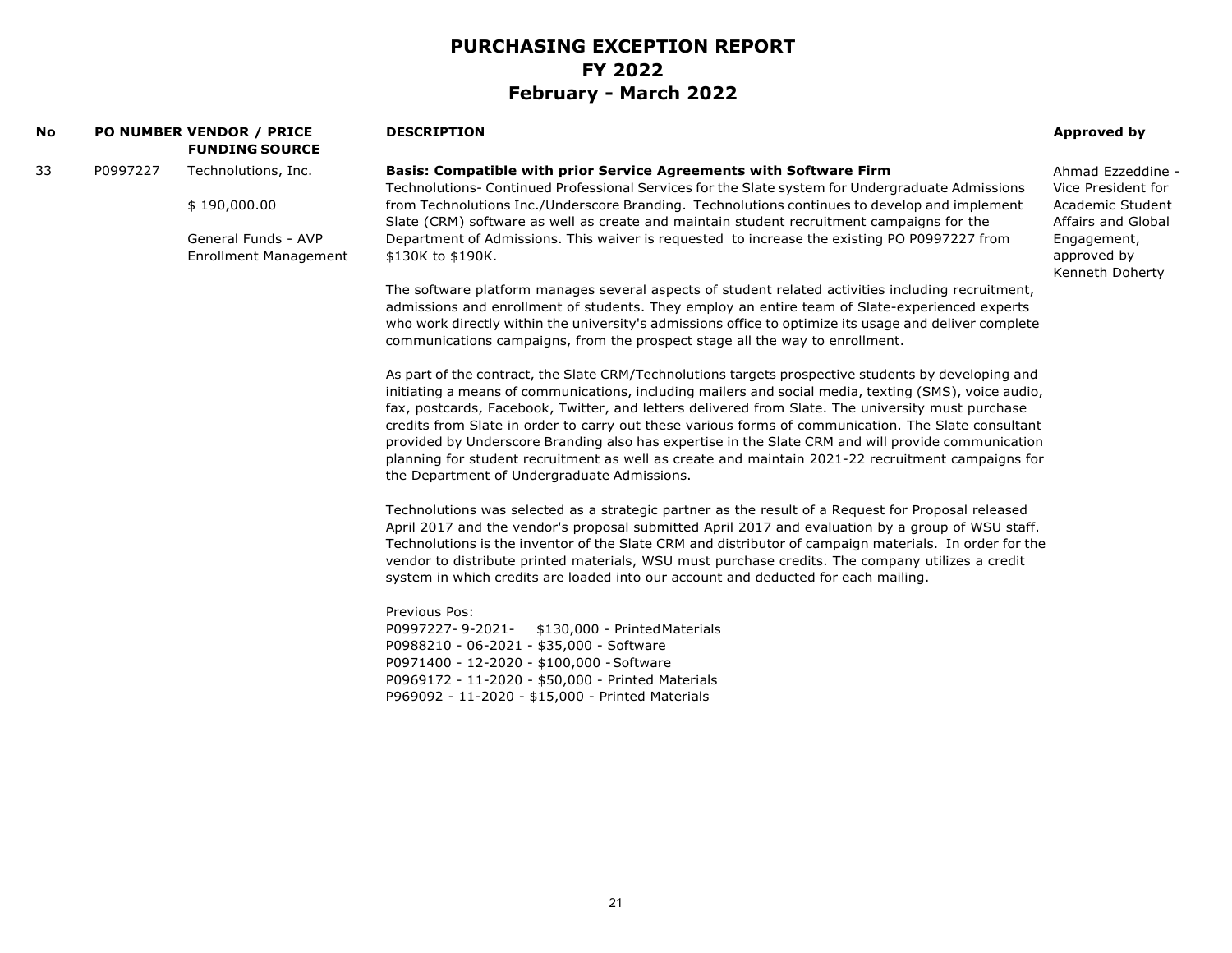| No |          | <b>PO NUMBER VENDOR / PRICE</b><br><b>FUNDING SOURCE</b>                                   | <b>DESCRIPTION</b>                                                                                                                                                                                                                                                                                                                                                                                                                                                                                                                                                                                                                                                                 | <b>Approved by</b>                                                                                                                 |
|----|----------|--------------------------------------------------------------------------------------------|------------------------------------------------------------------------------------------------------------------------------------------------------------------------------------------------------------------------------------------------------------------------------------------------------------------------------------------------------------------------------------------------------------------------------------------------------------------------------------------------------------------------------------------------------------------------------------------------------------------------------------------------------------------------------------|------------------------------------------------------------------------------------------------------------------------------------|
| 33 | P0997227 | Technolutions, Inc.<br>\$190,000.00<br>General Funds - AVP<br><b>Enrollment Management</b> | <b>Basis: Compatible with prior Service Agreements with Software Firm</b><br>Technolutions- Continued Professional Services for the Slate system for Undergraduate Admissions<br>from Technolutions Inc./Underscore Branding. Technolutions continues to develop and implement<br>Slate (CRM) software as well as create and maintain student recruitment campaigns for the<br>Department of Admissions. This waiver is requested to increase the existing PO P0997227 from<br>\$130K to \$190K.                                                                                                                                                                                   | Ahmad Ezzeddine -<br>Vice President for<br>Academic Student<br>Affairs and Global<br>Engagement,<br>approved by<br>Kenneth Doherty |
|    |          |                                                                                            | The software platform manages several aspects of student related activities including recruitment,<br>admissions and enrollment of students. They employ an entire team of Slate-experienced experts<br>who work directly within the university's admissions office to optimize its usage and deliver complete<br>communications campaigns, from the prospect stage all the way to enrollment.                                                                                                                                                                                                                                                                                     |                                                                                                                                    |
|    |          |                                                                                            | As part of the contract, the Slate CRM/Technolutions targets prospective students by developing and<br>initiating a means of communications, including mailers and social media, texting (SMS), voice audio,<br>fax, postcards, Facebook, Twitter, and letters delivered from Slate. The university must purchase<br>credits from Slate in order to carry out these various forms of communication. The Slate consultant<br>provided by Underscore Branding also has expertise in the Slate CRM and will provide communication<br>planning for student recruitment as well as create and maintain 2021-22 recruitment campaigns for<br>the Department of Undergraduate Admissions. |                                                                                                                                    |
|    |          |                                                                                            | Technolutions was selected as a strategic partner as the result of a Request for Proposal released<br>April 2017 and the vendor's proposal submitted April 2017 and evaluation by a group of WSU staff.<br>Technolutions is the inventor of the Slate CRM and distributor of campaign materials. In order for the<br>vendor to distribute printed materials, WSU must purchase credits. The company utilizes a credit<br>system in which credits are loaded into our account and deducted for each mailing.                                                                                                                                                                        |                                                                                                                                    |
|    |          |                                                                                            | Previous Pos:<br>P0997227-9-2021-<br>\$130,000 - Printed Materials<br>P0988210 - 06-2021 - \$35,000 - Software<br>P0971400 - 12-2020 - \$100,000 - Software<br>P0969172 - 11-2020 - \$50,000 - Printed Materials<br>P969092 - 11-2020 - \$15,000 - Printed Materials                                                                                                                                                                                                                                                                                                                                                                                                               |                                                                                                                                    |

21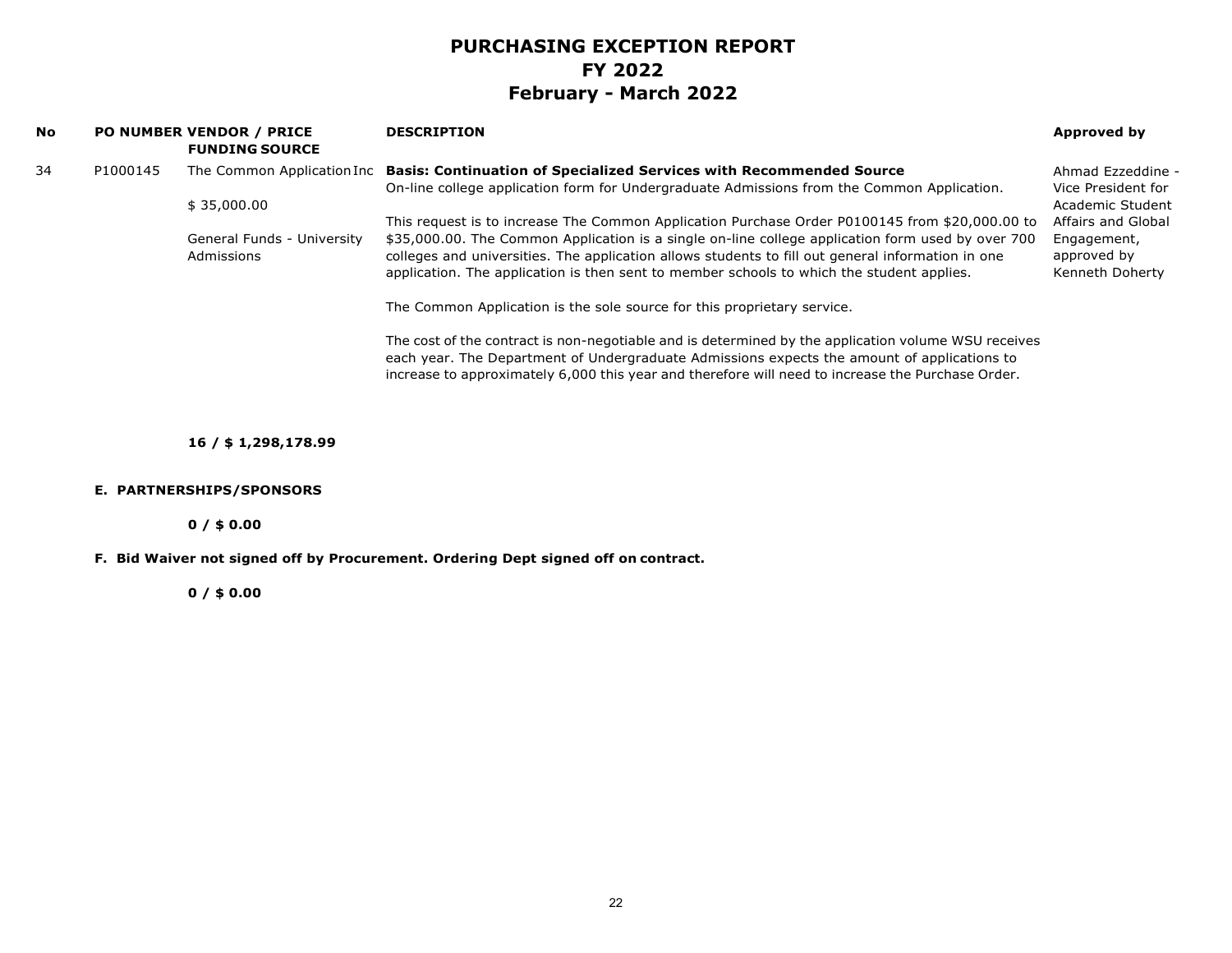| <b>No</b> |          | <b>PO NUMBER VENDOR / PRICE</b><br><b>FUNDING SOURCE</b> | <b>DESCRIPTION</b>                                                                                                                                                                                                                                                                                      | <b>Approved by</b>                            |
|-----------|----------|----------------------------------------------------------|---------------------------------------------------------------------------------------------------------------------------------------------------------------------------------------------------------------------------------------------------------------------------------------------------------|-----------------------------------------------|
| 34        | P1000145 | The Common Application Inc                               | <b>Basis: Continuation of Specialized Services with Recommended Source</b>                                                                                                                                                                                                                              | Ahmad Ezzeddine -                             |
|           |          | \$35,000.00                                              | On-line college application form for Undergraduate Admissions from the Common Application.                                                                                                                                                                                                              | Vice President for<br>Academic Student        |
|           |          |                                                          | This request is to increase The Common Application Purchase Order P0100145 from \$20,000.00 to                                                                                                                                                                                                          | Affairs and Global                            |
|           |          | General Funds - University<br>Admissions                 | \$35,000.00. The Common Application is a single on-line college application form used by over 700<br>colleges and universities. The application allows students to fill out general information in one<br>application. The application is then sent to member schools to which the student applies.     | Engagement,<br>approved by<br>Kenneth Doherty |
|           |          |                                                          | The Common Application is the sole source for this proprietary service.                                                                                                                                                                                                                                 |                                               |
|           |          |                                                          | The cost of the contract is non-negotiable and is determined by the application volume WSU receives<br>each year. The Department of Undergraduate Admissions expects the amount of applications to<br>increase to approximately 6,000 this year and therefore will need to increase the Purchase Order. |                                               |

#### **16 / \$ 1,298,178.99**

#### **E. PARTNERSHIPS/SPONSORS**

**0 / \$ 0.00**

#### **F. Bid Waiver not signed off by Procurement. Ordering Dept signed off on contract.**

#### **0 / \$ 0.00**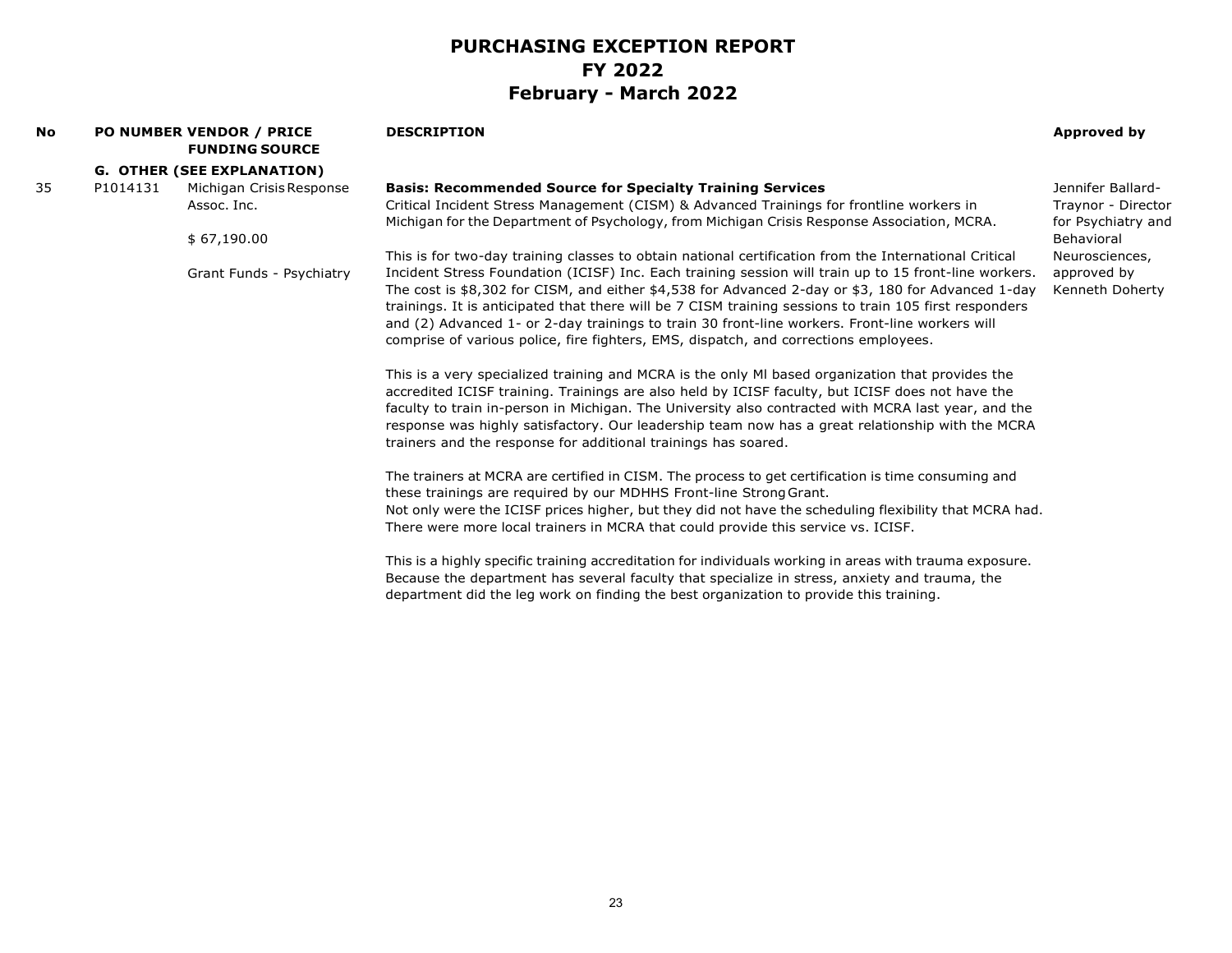| No. |          | PO NUMBER VENDOR / PRICE<br><b>FUNDING SOURCE</b> | <b>DESCRIPTION</b>                                                                                                                                                                                                                                                                                                                                                                                                                                                                                                                                                                                                                                                                                                           | Approved by                                                   |
|-----|----------|---------------------------------------------------|------------------------------------------------------------------------------------------------------------------------------------------------------------------------------------------------------------------------------------------------------------------------------------------------------------------------------------------------------------------------------------------------------------------------------------------------------------------------------------------------------------------------------------------------------------------------------------------------------------------------------------------------------------------------------------------------------------------------------|---------------------------------------------------------------|
|     |          | <b>G. OTHER (SEE EXPLANATION)</b>                 |                                                                                                                                                                                                                                                                                                                                                                                                                                                                                                                                                                                                                                                                                                                              |                                                               |
| 35  | P1014131 | Michigan Crisis Response<br>Assoc. Inc.           | <b>Basis: Recommended Source for Specialty Training Services</b><br>Critical Incident Stress Management (CISM) & Advanced Trainings for frontline workers in<br>Michigan for the Department of Psychology, from Michigan Crisis Response Association, MCRA.                                                                                                                                                                                                                                                                                                                                                                                                                                                                  | Jennifer Ballard-<br>Traynor - Director<br>for Psychiatry and |
|     |          | \$67,190.00                                       |                                                                                                                                                                                                                                                                                                                                                                                                                                                                                                                                                                                                                                                                                                                              | Behavioral                                                    |
|     |          | Grant Funds - Psychiatry                          | This is for two-day training classes to obtain national certification from the International Critical<br>Incident Stress Foundation (ICISF) Inc. Each training session will train up to 15 front-line workers.<br>The cost is \$8,302 for CISM, and either \$4,538 for Advanced 2-day or \$3, 180 for Advanced 1-day<br>trainings. It is anticipated that there will be 7 CISM training sessions to train 105 first responders<br>and (2) Advanced 1- or 2-day trainings to train 30 front-line workers. Front-line workers will<br>comprise of various police, fire fighters, EMS, dispatch, and corrections employees.<br>This is a very specialized training and MCRA is the only MI based organization that provides the | Neurosciences,<br>approved by<br>Kenneth Doherty              |
|     |          |                                                   | accredited ICISF training. Trainings are also held by ICISF faculty, but ICISF does not have the<br>faculty to train in-person in Michigan. The University also contracted with MCRA last year, and the<br>response was highly satisfactory. Our leadership team now has a great relationship with the MCRA<br>trainers and the response for additional trainings has soared.                                                                                                                                                                                                                                                                                                                                                |                                                               |
|     |          |                                                   | The trainers at MCRA are certified in CISM. The process to get certification is time consuming and<br>these trainings are required by our MDHHS Front-line Strong Grant.                                                                                                                                                                                                                                                                                                                                                                                                                                                                                                                                                     |                                                               |
|     |          |                                                   | Not only were the ICISF prices higher, but they did not have the scheduling flexibility that MCRA had.<br>There were more local trainers in MCRA that could provide this service vs. ICISF.                                                                                                                                                                                                                                                                                                                                                                                                                                                                                                                                  |                                                               |
|     |          |                                                   | This is a highly specific training accreditation for individuals working in areas with trauma exposure.<br>Because the department has several faculty that specialize in stress, anxiety and trauma, the<br>department did the leg work on finding the best organization to provide this training.                                                                                                                                                                                                                                                                                                                                                                                                                           |                                                               |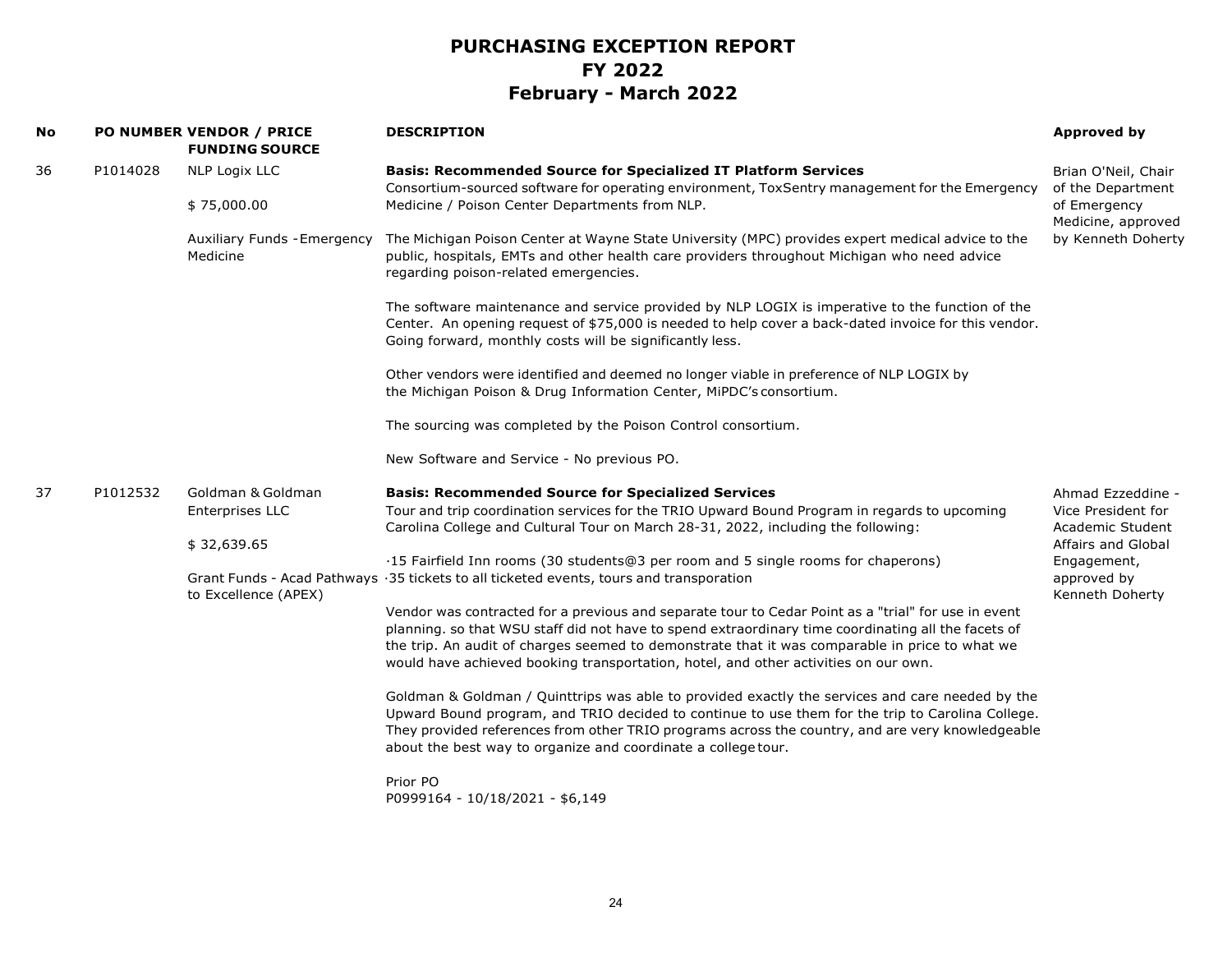| No |          | PO NUMBER VENDOR / PRICE<br><b>FUNDING SOURCE</b>   | <b>DESCRIPTION</b>                                                                                                                                                                                                                                                                                                                                                                                                                                                                                                                                                                                                                                                                                                                                                                                         | <b>Approved by</b>                                                                                                                 |
|----|----------|-----------------------------------------------------|------------------------------------------------------------------------------------------------------------------------------------------------------------------------------------------------------------------------------------------------------------------------------------------------------------------------------------------------------------------------------------------------------------------------------------------------------------------------------------------------------------------------------------------------------------------------------------------------------------------------------------------------------------------------------------------------------------------------------------------------------------------------------------------------------------|------------------------------------------------------------------------------------------------------------------------------------|
| 36 | P1014028 | <b>NLP Logix LLC</b>                                | <b>Basis: Recommended Source for Specialized IT Platform Services</b><br>Consortium-sourced software for operating environment, ToxSentry management for the Emergency                                                                                                                                                                                                                                                                                                                                                                                                                                                                                                                                                                                                                                     | Brian O'Neil, Chair<br>of the Department<br>of Emergency<br>Medicine, approved<br>by Kenneth Doherty                               |
|    |          | \$75,000.00                                         | Medicine / Poison Center Departments from NLP.                                                                                                                                                                                                                                                                                                                                                                                                                                                                                                                                                                                                                                                                                                                                                             |                                                                                                                                    |
|    |          | Auxiliary Funds - Emergency<br>Medicine             | The Michigan Poison Center at Wayne State University (MPC) provides expert medical advice to the<br>public, hospitals, EMTs and other health care providers throughout Michigan who need advice<br>regarding poison-related emergencies.                                                                                                                                                                                                                                                                                                                                                                                                                                                                                                                                                                   |                                                                                                                                    |
|    |          |                                                     | The software maintenance and service provided by NLP LOGIX is imperative to the function of the<br>Center. An opening request of \$75,000 is needed to help cover a back-dated invoice for this vendor.<br>Going forward, monthly costs will be significantly less.                                                                                                                                                                                                                                                                                                                                                                                                                                                                                                                                        |                                                                                                                                    |
|    |          |                                                     | Other vendors were identified and deemed no longer viable in preference of NLP LOGIX by<br>the Michigan Poison & Drug Information Center, MiPDC's consortium.                                                                                                                                                                                                                                                                                                                                                                                                                                                                                                                                                                                                                                              |                                                                                                                                    |
|    |          |                                                     | The sourcing was completed by the Poison Control consortium.                                                                                                                                                                                                                                                                                                                                                                                                                                                                                                                                                                                                                                                                                                                                               |                                                                                                                                    |
|    |          |                                                     | New Software and Service - No previous PO.                                                                                                                                                                                                                                                                                                                                                                                                                                                                                                                                                                                                                                                                                                                                                                 |                                                                                                                                    |
| 37 | P1012532 | Goldman & Goldman<br>Enterprises LLC<br>\$32,639.65 | <b>Basis: Recommended Source for Specialized Services</b><br>Tour and trip coordination services for the TRIO Upward Bound Program in regards to upcoming<br>Carolina College and Cultural Tour on March 28-31, 2022, including the following:<br>·15 Fairfield Inn rooms (30 students@3 per room and 5 single rooms for chaperons)                                                                                                                                                                                                                                                                                                                                                                                                                                                                        | Ahmad Ezzeddine -<br>Vice President for<br>Academic Student<br>Affairs and Global<br>Engagement,<br>approved by<br>Kenneth Doherty |
|    |          | to Excellence (APEX)                                | Grant Funds - Acad Pathways · 35 tickets to all ticketed events, tours and transporation<br>Vendor was contracted for a previous and separate tour to Cedar Point as a "trial" for use in event<br>planning. so that WSU staff did not have to spend extraordinary time coordinating all the facets of<br>the trip. An audit of charges seemed to demonstrate that it was comparable in price to what we<br>would have achieved booking transportation, hotel, and other activities on our own.<br>Goldman & Goldman / Quinttrips was able to provided exactly the services and care needed by the<br>Upward Bound program, and TRIO decided to continue to use them for the trip to Carolina College.<br>They provided references from other TRIO programs across the country, and are very knowledgeable |                                                                                                                                    |
|    |          |                                                     | about the best way to organize and coordinate a college tour.<br>Prior PO<br>P0999164 - 10/18/2021 - \$6,149                                                                                                                                                                                                                                                                                                                                                                                                                                                                                                                                                                                                                                                                                               |                                                                                                                                    |